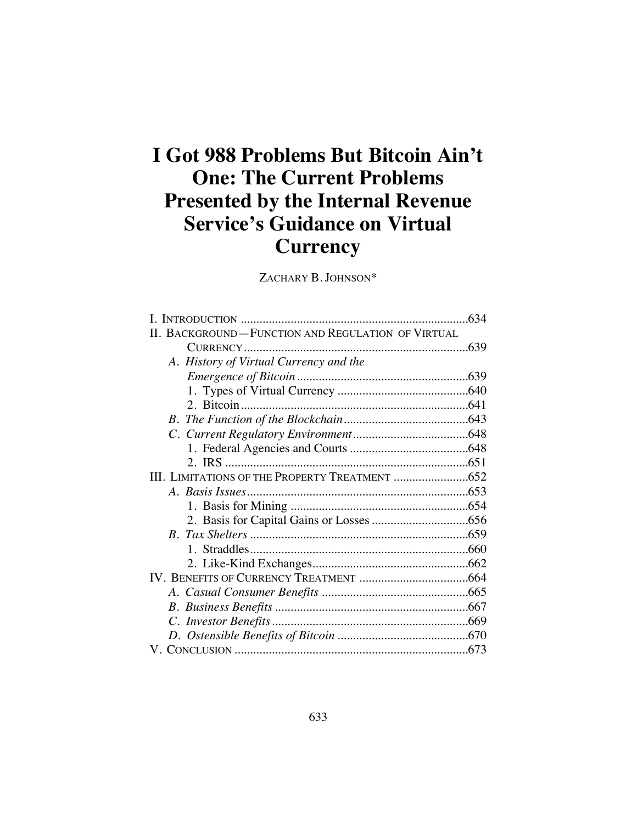# **I Got 988 Problems But Bitcoin Ain't One: The Current Problems Presented by the Internal Revenue Service's Guidance on Virtual Currency**

ZACHARY B. JOHNSON\*

| II. BACKGROUND-FUNCTION AND REGULATION OF VIRTUAL |  |
|---------------------------------------------------|--|
|                                                   |  |
| A. History of Virtual Currency and the            |  |
|                                                   |  |
|                                                   |  |
|                                                   |  |
|                                                   |  |
|                                                   |  |
|                                                   |  |
|                                                   |  |
|                                                   |  |
|                                                   |  |
|                                                   |  |
|                                                   |  |
|                                                   |  |
|                                                   |  |
|                                                   |  |
|                                                   |  |
|                                                   |  |
|                                                   |  |
|                                                   |  |
|                                                   |  |
|                                                   |  |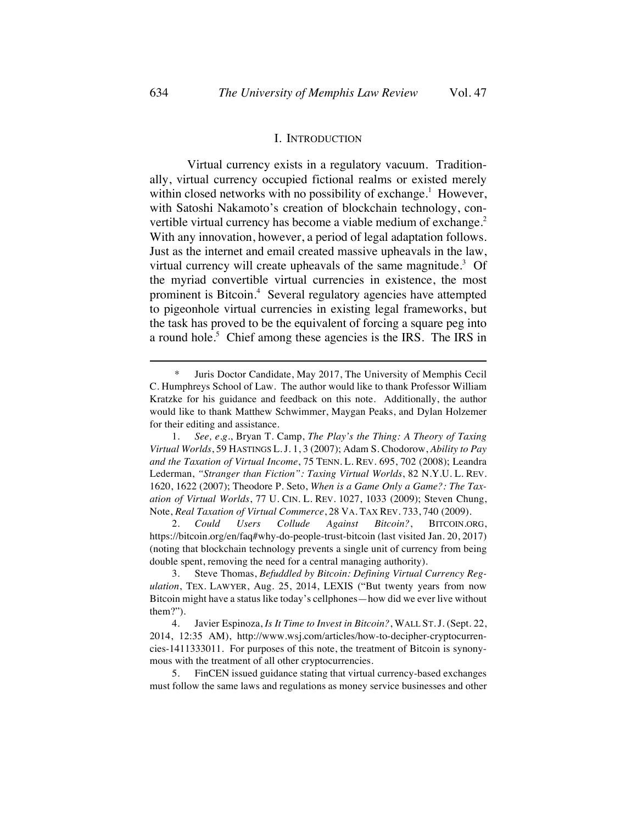#### I. INTRODUCTION

Virtual currency exists in a regulatory vacuum. Traditionally, virtual currency occupied fictional realms or existed merely within closed networks with no possibility of exchange.<sup>1</sup> However, with Satoshi Nakamoto's creation of blockchain technology, convertible virtual currency has become a viable medium of exchange.<sup>2</sup> With any innovation, however, a period of legal adaptation follows. Just as the internet and email created massive upheavals in the law, virtual currency will create upheavals of the same magnitude.<sup>3</sup> Of the myriad convertible virtual currencies in existence, the most prominent is Bitcoin.<sup>4</sup> Several regulatory agencies have attempted to pigeonhole virtual currencies in existing legal frameworks, but the task has proved to be the equivalent of forcing a square peg into a round hole.<sup>5</sup> Chief among these agencies is the IRS. The IRS in

2. *Could Users Collude Against Bitcoin?*, BITCOIN.ORG, https://bitcoin.org/en/faq#why-do-people-trust-bitcoin (last visited Jan. 20, 2017) (noting that blockchain technology prevents a single unit of currency from being double spent, removing the need for a central managing authority).

<sup>\*</sup> Juris Doctor Candidate, May 2017, The University of Memphis Cecil C. Humphreys School of Law. The author would like to thank Professor William Kratzke for his guidance and feedback on this note. Additionally, the author would like to thank Matthew Schwimmer, Maygan Peaks, and Dylan Holzemer for their editing and assistance.

<sup>1</sup>*. See, e.g.*, Bryan T. Camp, *The Play's the Thing: A Theory of Taxing Virtual Worlds*, 59 HASTINGS L.J. 1, 3 (2007); Adam S. Chodorow, *Ability to Pay and the Taxation of Virtual Income*, 75 TENN. L. REV. 695, 702 (2008); Leandra Lederman, *"Stranger than Fiction": Taxing Virtual Worlds*, 82 N.Y.U. L. REV. 1620, 1622 (2007); Theodore P. Seto, *When is a Game Only a Game?: The Taxation of Virtual Worlds*, 77 U. CIN. L. REV. 1027, 1033 (2009); Steven Chung, Note, *Real Taxation of Virtual Commerce*, 28 VA. TAX REV. 733, 740 (2009).

<sup>3.</sup> Steve Thomas, *Befuddled by Bitcoin: Defining Virtual Currency Regulation*, TEX. LAWYER, Aug. 25, 2014, LEXIS ("But twenty years from now Bitcoin might have a status like today's cellphones—how did we ever live without them?").

<sup>4.</sup> Javier Espinoza, *Is It Time to Invest in Bitcoin?*, WALL ST.J. (Sept. 22, 2014, 12:35 AM), http://www.wsj.com/articles/how-to-decipher-cryptocurrencies-1411333011. For purposes of this note, the treatment of Bitcoin is synonymous with the treatment of all other cryptocurrencies.

<sup>5.</sup> FinCEN issued guidance stating that virtual currency-based exchanges must follow the same laws and regulations as money service businesses and other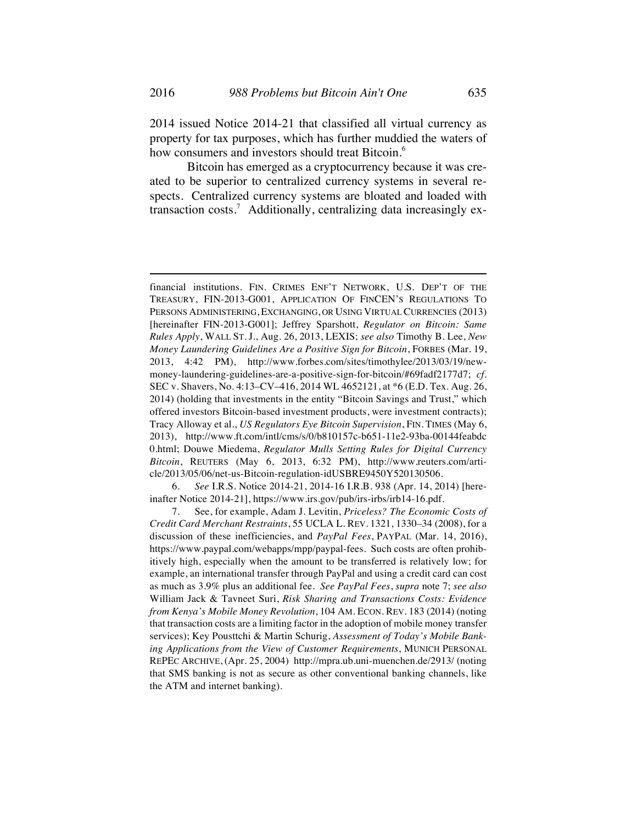2014 issued Notice 2014-21 that classified all virtual currency as property for tax purposes, which has further muddied the waters of how consumers and investors should treat Bitcoin.<sup>6</sup>

Bitcoin has emerged as a cryptocurrency because it was created to be superior to centralized currency systems in several respects. Centralized currency systems are bloated and loaded with transaction costs.<sup>7</sup> Additionally, centralizing data increasingly ex-

6. *See* I.R.S. Notice 2014-21, 2014-16 I.R.B. 938 (Apr. 14, 2014) [hereinafter Notice 2014-21], https://www.irs.gov/pub/irs-irbs/irb14-16.pdf.

financial institutions. FIN. CRIMES ENF'T NETWORK, U.S. DEP'T OF THE TREASURY, FIN-2013-G001, APPLICATION OF FINCEN'S REGULATIONS TO PERSONS ADMINISTERING, EXCHANGING, OR USING VIRTUAL CURRENCIES (2013) [hereinafter FIN-2013-G001]; Jeffrey Sparshott, *Regulator on Bitcoin: Same Rules Apply*, WALL ST. J., Aug. 26, 2013, LEXIS; *see also* Timothy B. Lee, *New Money Laundering Guidelines Are a Positive Sign for Bitcoin*, FORBES (Mar. 19, 2013, 4:42 PM), http://www.forbes.com/sites/timothylee/2013/03/19/newmoney-laundering-guidelines-are-a-positive-sign-for-bitcoin/#69fadf2177d7; *cf.*  SEC v. Shavers, No. 4:13–CV–416, 2014 WL 4652121, at \*6 (E.D. Tex. Aug. 26, 2014) (holding that investments in the entity "Bitcoin Savings and Trust," which offered investors Bitcoin-based investment products, were investment contracts); Tracy Alloway et al., *US Regulators Eye Bitcoin Supervision*, FIN. TIMES (May 6, 2013), http://www.ft.com/intl/cms/s/0/b810157c-b651-11e2-93ba-00144feabdc 0.html; Douwe Miedema, *Regulator Mulls Setting Rules for Digital Currency Bitcoin*, REUTERS (May 6, 2013, 6:32 PM), http://www.reuters.com/article/2013/05/06/net-us-Bitcoin-regulation-idUSBRE9450Y520130506.

<sup>7.</sup> See, for example, Adam J. Levitin, *Priceless? The Economic Costs of Credit Card Merchant Restraints*, 55 UCLA L. REV. 1321, 1330–34 (2008), for a discussion of these inefficiencies, and *PayPal Fees*, PAYPAL (Mar. 14, 2016), https://www.paypal.com/webapps/mpp/paypal-fees. Such costs are often prohibitively high, especially when the amount to be transferred is relatively low; for example, an international transfer through PayPal and using a credit card can cost as much as 3.9% plus an additional fee. *See PayPal Fees*, *supra* note 7; *see also* William Jack & Tavneet Suri, *Risk Sharing and Transactions Costs: Evidence from Kenya's Mobile Money Revolution*, 104 AM. ECON. REV. 183 (2014) (noting that transaction costs are a limiting factor in the adoption of mobile money transfer services); Key Pousttchi & Martin Schurig, *Assessment of Today's Mobile Banking Applications from the View of Customer Requirements*, MUNICH PERSONAL REPEC ARCHIVE, (Apr. 25, 2004) http://mpra.ub.uni-muenchen.de/2913/ (noting that SMS banking is not as secure as other conventional banking channels, like the ATM and internet banking).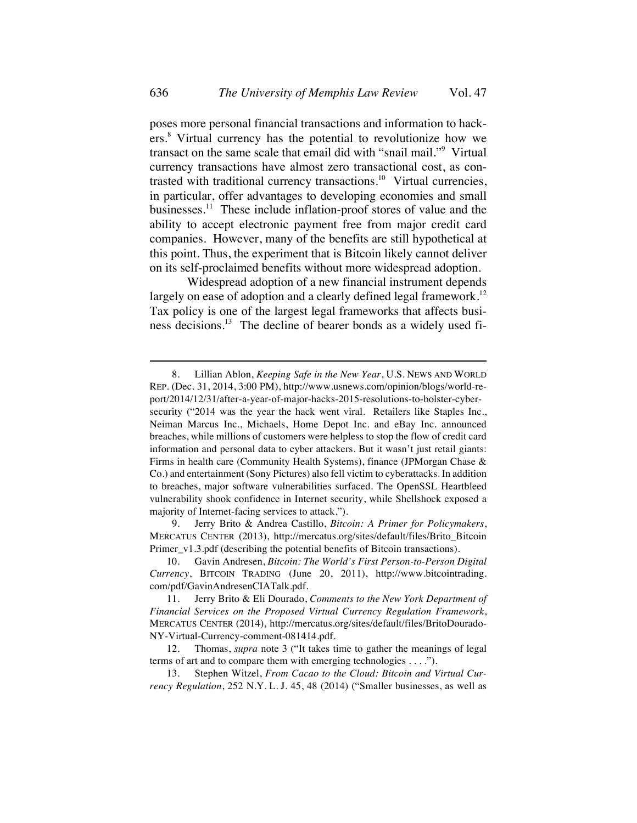poses more personal financial transactions and information to hackers.<sup>8</sup> Virtual currency has the potential to revolutionize how we transact on the same scale that email did with "snail mail."9 Virtual currency transactions have almost zero transactional cost, as contrasted with traditional currency transactions.<sup>10</sup> Virtual currencies, in particular, offer advantages to developing economies and small businesses.<sup>11</sup> These include inflation-proof stores of value and the ability to accept electronic payment free from major credit card companies. However, many of the benefits are still hypothetical at this point. Thus, the experiment that is Bitcoin likely cannot deliver on its self-proclaimed benefits without more widespread adoption.

Widespread adoption of a new financial instrument depends largely on ease of adoption and a clearly defined legal framework.<sup>12</sup> Tax policy is one of the largest legal frameworks that affects business decisions.<sup>13</sup> The decline of bearer bonds as a widely used fi-

9. Jerry Brito & Andrea Castillo, *Bitcoin: A Primer for Policymakers*, MERCATUS CENTER (2013), http://mercatus.org/sites/default/files/Brito\_Bitcoin Primer\_v1.3.pdf (describing the potential benefits of Bitcoin transactions).

<sup>8.</sup> Lillian Ablon, *Keeping Safe in the New Year*, U.S. NEWS AND WORLD REP. (Dec. 31, 2014, 3:00 PM), http://www.usnews.com/opinion/blogs/world-report/2014/12/31/after-a-year-of-major-hacks-2015-resolutions-to-bolster-cybersecurity ("2014 was the year the hack went viral. Retailers like Staples Inc., Neiman Marcus Inc., Michaels, Home Depot Inc. and eBay Inc. announced breaches, while millions of customers were helpless to stop the flow of credit card information and personal data to cyber attackers. But it wasn't just retail giants: Firms in health care (Community Health Systems), finance (JPMorgan Chase & Co.) and entertainment (Sony Pictures) also fell victim to cyberattacks. In addition to breaches, major software vulnerabilities surfaced. The OpenSSL Heartbleed vulnerability shook confidence in Internet security, while Shellshock exposed a majority of Internet-facing services to attack.").

<sup>10.</sup> Gavin Andresen, *Bitcoin: The World's First Person-to-Person Digital Currency*, BITCOIN TRADING (June 20, 2011), http://www.bitcointrading. com/pdf/GavinAndresenCIATalk.pdf.

<sup>11.</sup> Jerry Brito & Eli Dourado, *Comments to the New York Department of Financial Services on the Proposed Virtual Currency Regulation Framework*, MERCATUS CENTER (2014), http://mercatus.org/sites/default/files/BritoDourado-NY-Virtual-Currency-comment-081414.pdf.

<sup>12.</sup> Thomas, *supra* note 3 ("It takes time to gather the meanings of legal terms of art and to compare them with emerging technologies . . . .").

<sup>13.</sup> Stephen Witzel, *From Cacao to the Cloud: Bitcoin and Virtual Currency Regulation*, 252 N.Y. L. J. 45, 48 (2014) ("Smaller businesses, as well as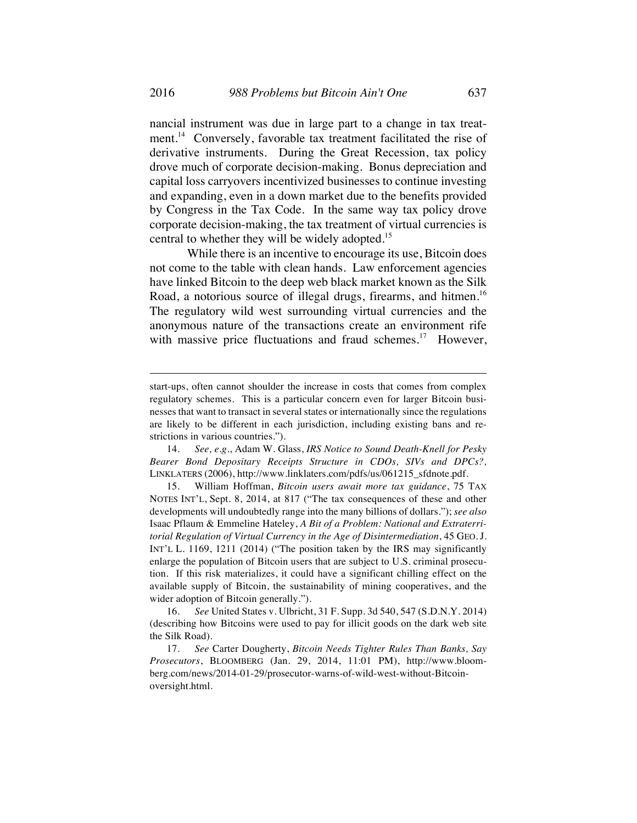nancial instrument was due in large part to a change in tax treatment.<sup>14</sup> Conversely, favorable tax treatment facilitated the rise of derivative instruments. During the Great Recession, tax policy drove much of corporate decision-making. Bonus depreciation and capital loss carryovers incentivized businesses to continue investing and expanding, even in a down market due to the benefits provided by Congress in the Tax Code. In the same way tax policy drove corporate decision-making, the tax treatment of virtual currencies is central to whether they will be widely adopted.<sup>15</sup>

While there is an incentive to encourage its use, Bitcoin does not come to the table with clean hands. Law enforcement agencies have linked Bitcoin to the deep web black market known as the Silk Road, a notorious source of illegal drugs, firearms, and hitmen.<sup>16</sup> The regulatory wild west surrounding virtual currencies and the anonymous nature of the transactions create an environment rife with massive price fluctuations and fraud schemes.<sup>17</sup> However,

15. William Hoffman, *Bitcoin users await more tax guidance*, 75 TAX NOTES INT'L, Sept. 8, 2014, at 817 ("The tax consequences of these and other developments will undoubtedly range into the many billions of dollars."); *see also* Isaac Pflaum & Emmeline Hateley, *A Bit of a Problem: National and Extraterritorial Regulation of Virtual Currency in the Age of Disintermediation*, 45 GEO. J. INT'L L. 1169, 1211 (2014) ("The position taken by the IRS may significantly enlarge the population of Bitcoin users that are subject to U.S. criminal prosecution. If this risk materializes, it could have a significant chilling effect on the available supply of Bitcoin, the sustainability of mining cooperatives, and the wider adoption of Bitcoin generally.").

16. *See* United States v. Ulbricht, 31 F. Supp. 3d 540, 547 (S.D.N.Y. 2014) (describing how Bitcoins were used to pay for illicit goods on the dark web site the Silk Road).

17. *See* Carter Dougherty, *Bitcoin Needs Tighter Rules Than Banks, Say Prosecutors*, BLOOMBERG (Jan. 29, 2014, 11:01 PM), http://www.bloomberg.com/news/2014-01-29/prosecutor-warns-of-wild-west-without-Bitcoinoversight.html.

start-ups, often cannot shoulder the increase in costs that comes from complex regulatory schemes. This is a particular concern even for larger Bitcoin businesses that want to transact in several states or internationally since the regulations are likely to be different in each jurisdiction, including existing bans and restrictions in various countries.").

<sup>14.</sup> *See, e.g.*, Adam W. Glass, *IRS Notice to Sound Death-Knell for Pesky Bearer Bond Depositary Receipts Structure in CDOs, SIVs and DPCs?,* LINKLATERS (2006), http://www.linklaters.com/pdfs/us/061215\_sfdnote.pdf.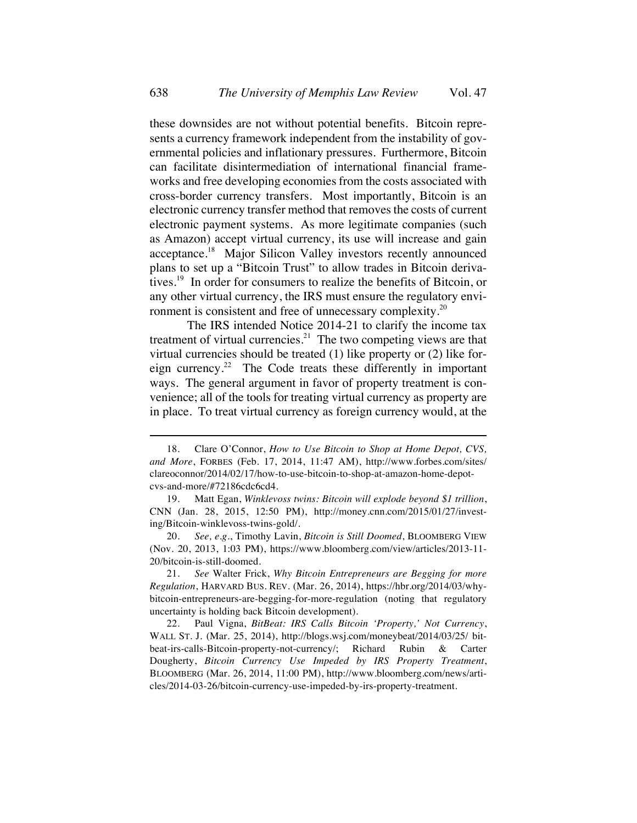these downsides are not without potential benefits. Bitcoin represents a currency framework independent from the instability of governmental policies and inflationary pressures. Furthermore, Bitcoin can facilitate disintermediation of international financial frameworks and free developing economies from the costs associated with cross-border currency transfers. Most importantly, Bitcoin is an electronic currency transfer method that removes the costs of current electronic payment systems. As more legitimate companies (such as Amazon) accept virtual currency, its use will increase and gain acceptance.<sup>18</sup> Major Silicon Valley investors recently announced plans to set up a "Bitcoin Trust" to allow trades in Bitcoin derivatives.<sup>19</sup> In order for consumers to realize the benefits of Bitcoin, or any other virtual currency, the IRS must ensure the regulatory environment is consistent and free of unnecessary complexity.<sup>20</sup>

The IRS intended Notice 2014-21 to clarify the income tax treatment of virtual currencies. $21$  The two competing views are that virtual currencies should be treated (1) like property or (2) like foreign currency.<sup>22</sup> The Code treats these differently in important ways. The general argument in favor of property treatment is convenience; all of the tools for treating virtual currency as property are in place. To treat virtual currency as foreign currency would, at the

20. *See, e.g.*, Timothy Lavin, *Bitcoin is Still Doomed*, BLOOMBERG VIEW (Nov. 20, 2013, 1:03 PM), https://www.bloomberg.com/view/articles/2013-11- 20/bitcoin-is-still-doomed.

21. *See* Walter Frick, *Why Bitcoin Entrepreneurs are Begging for more Regulation*, HARVARD BUS. REV. (Mar. 26, 2014), https://hbr.org/2014/03/whybitcoin-entrepreneurs-are-begging-for-more-regulation (noting that regulatory uncertainty is holding back Bitcoin development).

<sup>18.</sup> Clare O'Connor, *How to Use Bitcoin to Shop at Home Depot, CVS, and More*, FORBES (Feb. 17, 2014, 11:47 AM), http://www.forbes.com/sites/ clareoconnor/2014/02/17/how-to-use-bitcoin-to-shop-at-amazon-home-depotcvs-and-more/#72186cdc6cd4.

<sup>19.</sup> Matt Egan, *Winklevoss twins: Bitcoin will explode beyond \$1 trillion*, CNN (Jan. 28, 2015, 12:50 PM), http://money.cnn.com/2015/01/27/investing/Bitcoin-winklevoss-twins-gold/.

<sup>22.</sup> Paul Vigna, *BitBeat: IRS Calls Bitcoin 'Property,' Not Currency*, WALL ST. J. (Mar. 25, 2014), http://blogs.wsj.com/moneybeat/2014/03/25/ bitbeat-irs-calls-Bitcoin-property-not-currency/; Richard Rubin & Carter Dougherty, *Bitcoin Currency Use Impeded by IRS Property Treatment*, BLOOMBERG (Mar. 26, 2014, 11:00 PM), http://www.bloomberg.com/news/articles/2014-03-26/bitcoin-currency-use-impeded-by-irs-property-treatment.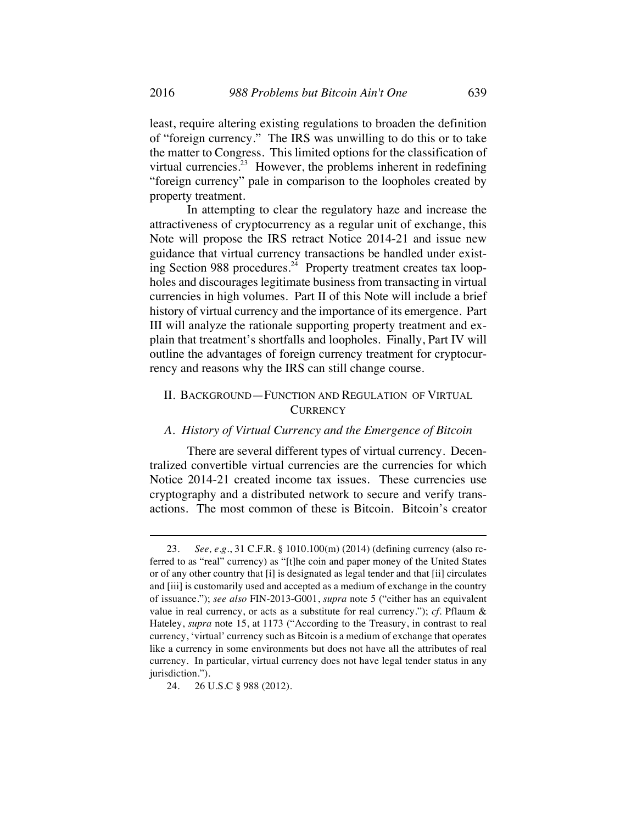least, require altering existing regulations to broaden the definition of "foreign currency." The IRS was unwilling to do this or to take the matter to Congress. This limited options for the classification of virtual currencies.<sup>23</sup> However, the problems inherent in redefining "foreign currency" pale in comparison to the loopholes created by property treatment.

In attempting to clear the regulatory haze and increase the attractiveness of cryptocurrency as a regular unit of exchange, this Note will propose the IRS retract Notice 2014-21 and issue new guidance that virtual currency transactions be handled under existing Section 988 procedures.<sup>24</sup> Property treatment creates tax loopholes and discourages legitimate business from transacting in virtual currencies in high volumes. Part II of this Note will include a brief history of virtual currency and the importance of its emergence. Part III will analyze the rationale supporting property treatment and explain that treatment's shortfalls and loopholes. Finally, Part IV will outline the advantages of foreign currency treatment for cryptocurrency and reasons why the IRS can still change course.

# II. BACKGROUND—FUNCTION AND REGULATION OF VIRTUAL **CURRENCY**

### *A. History of Virtual Currency and the Emergence of Bitcoin*

There are several different types of virtual currency. Decentralized convertible virtual currencies are the currencies for which Notice 2014-21 created income tax issues. These currencies use cryptography and a distributed network to secure and verify transactions. The most common of these is Bitcoin. Bitcoin's creator

<sup>23.</sup> *See, e.g.*, 31 C.F.R. § 1010.100(m) (2014) (defining currency (also referred to as "real" currency) as "[t]he coin and paper money of the United States or of any other country that [i] is designated as legal tender and that [ii] circulates and [iii] is customarily used and accepted as a medium of exchange in the country of issuance."); *see also* FIN-2013-G001, *supra* note 5 ("either has an equivalent value in real currency, or acts as a substitute for real currency."); *cf.* Pflaum & Hateley, *supra* note 15, at 1173 ("According to the Treasury, in contrast to real currency, 'virtual' currency such as Bitcoin is a medium of exchange that operates like a currency in some environments but does not have all the attributes of real currency. In particular, virtual currency does not have legal tender status in any jurisdiction.").

<sup>24.</sup> 26 U.S.C § 988 (2012).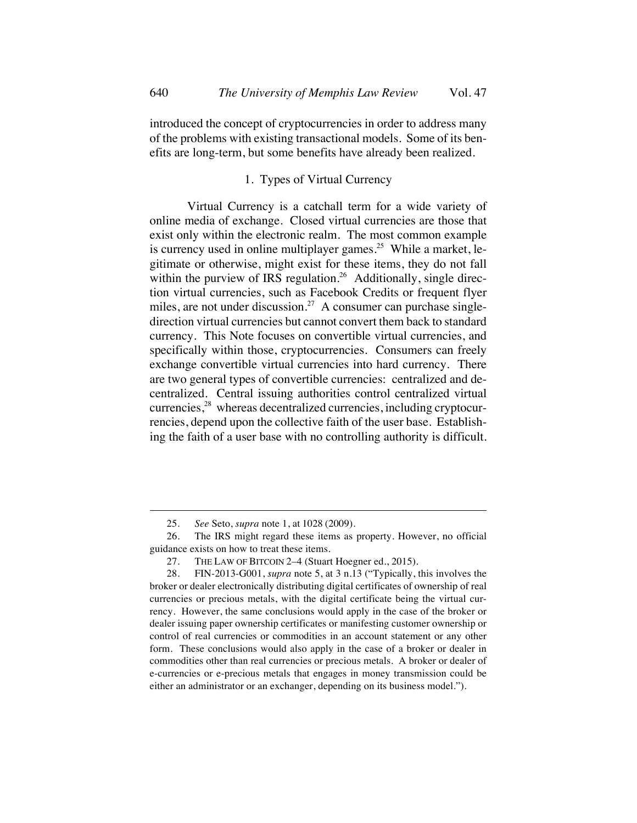introduced the concept of cryptocurrencies in order to address many of the problems with existing transactional models. Some of its benefits are long-term, but some benefits have already been realized.

# 1. Types of Virtual Currency

Virtual Currency is a catchall term for a wide variety of online media of exchange. Closed virtual currencies are those that exist only within the electronic realm. The most common example is currency used in online multiplayer games.<sup>25</sup> While a market, legitimate or otherwise, might exist for these items, they do not fall within the purview of IRS regulation.<sup>26</sup> Additionally, single direction virtual currencies, such as Facebook Credits or frequent flyer miles, are not under discussion.<sup>27</sup> A consumer can purchase singledirection virtual currencies but cannot convert them back to standard currency. This Note focuses on convertible virtual currencies, and specifically within those, cryptocurrencies. Consumers can freely exchange convertible virtual currencies into hard currency. There are two general types of convertible currencies: centralized and decentralized. Central issuing authorities control centralized virtual currencies,<sup>28</sup> whereas decentralized currencies, including cryptocurrencies, depend upon the collective faith of the user base. Establishing the faith of a user base with no controlling authority is difficult.

<sup>25.</sup> *See* Seto, *supra* note 1, at 1028 (2009).

<sup>26.</sup> The IRS might regard these items as property. However, no official guidance exists on how to treat these items.

<sup>27.</sup> THE LAW OF BITCOIN 2–4 (Stuart Hoegner ed., 2015).

<sup>28.</sup> FIN-2013-G001, *supra* note 5, at 3 n.13 ("Typically, this involves the broker or dealer electronically distributing digital certificates of ownership of real currencies or precious metals, with the digital certificate being the virtual currency. However, the same conclusions would apply in the case of the broker or dealer issuing paper ownership certificates or manifesting customer ownership or control of real currencies or commodities in an account statement or any other form. These conclusions would also apply in the case of a broker or dealer in commodities other than real currencies or precious metals. A broker or dealer of e-currencies or e-precious metals that engages in money transmission could be either an administrator or an exchanger, depending on its business model.").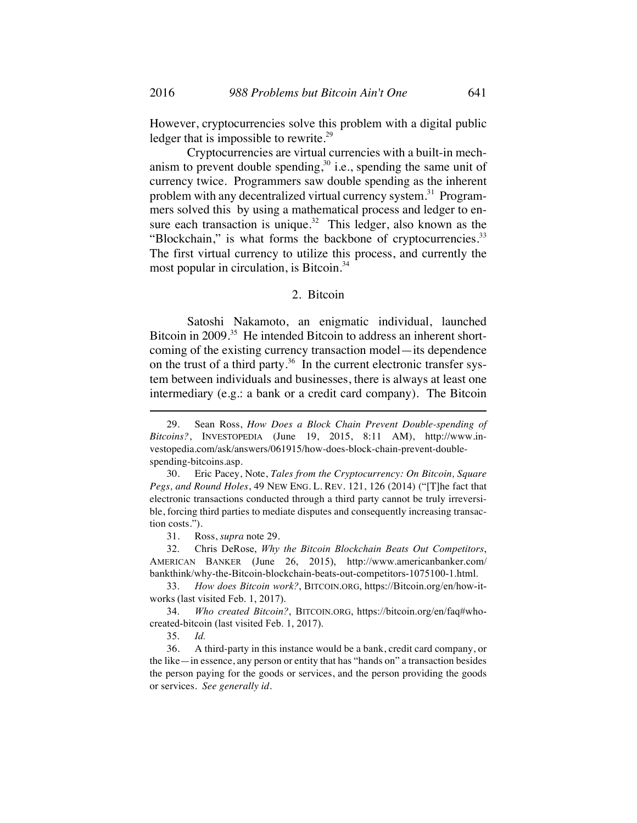However, cryptocurrencies solve this problem with a digital public ledger that is impossible to rewrite.<sup>29</sup>

Cryptocurrencies are virtual currencies with a built-in mechanism to prevent double spending,<sup>30</sup> i.e., spending the same unit of currency twice. Programmers saw double spending as the inherent problem with any decentralized virtual currency system.<sup>31</sup> Programmers solved this by using a mathematical process and ledger to ensure each transaction is unique.<sup>32</sup> This ledger, also known as the "Blockchain," is what forms the backbone of cryptocurrencies.<sup>33</sup> The first virtual currency to utilize this process, and currently the most popular in circulation, is Bitcoin.<sup>34</sup>

# 2. Bitcoin

Satoshi Nakamoto, an enigmatic individual, launched Bitcoin in 2009.<sup>35</sup> He intended Bitcoin to address an inherent shortcoming of the existing currency transaction model—its dependence on the trust of a third party.<sup>36</sup> In the current electronic transfer system between individuals and businesses, there is always at least one intermediary (e.g.: a bank or a credit card company). The Bitcoin

31. Ross, *supra* note 29.

32. Chris DeRose, *Why the Bitcoin Blockchain Beats Out Competitors*, AMERICAN BANKER (June 26, 2015), http://www.americanbanker.com/ bankthink/why-the-Bitcoin-blockchain-beats-out-competitors-1075100-1.html.

33. *How does Bitcoin work?*, BITCOIN.ORG, https://Bitcoin.org/en/how-itworks (last visited Feb. 1, 2017).

<sup>29.</sup> Sean Ross, *How Does a Block Chain Prevent Double-spending of Bitcoins?*, INVESTOPEDIA (June 19, 2015, 8:11 AM), http://www.investopedia.com/ask/answers/061915/how-does-block-chain-prevent-doublespending-bitcoins.asp.

<sup>30.</sup> Eric Pacey, Note, *Tales from the Cryptocurrency: On Bitcoin, Square Pegs, and Round Holes*, 49 NEW ENG. L. REV. 121, 126 (2014) ("[T]he fact that electronic transactions conducted through a third party cannot be truly irreversible, forcing third parties to mediate disputes and consequently increasing transaction costs.").

<sup>34.</sup> *Who created Bitcoin?*, BITCOIN.ORG, https://bitcoin.org/en/faq#whocreated-bitcoin (last visited Feb. 1, 2017).

<sup>35.</sup> *Id.*

<sup>36.</sup> A third-party in this instance would be a bank, credit card company, or the like—in essence, any person or entity that has "hands on" a transaction besides the person paying for the goods or services, and the person providing the goods or services. *See generally id.*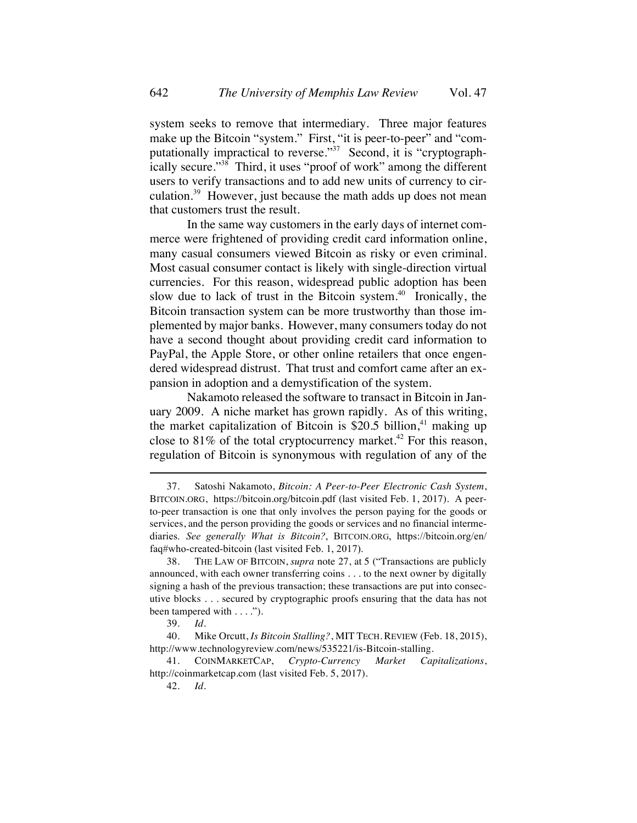system seeks to remove that intermediary. Three major features make up the Bitcoin "system." First, "it is peer-to-peer" and "computationally impractical to reverse."<sup>37</sup> Second, it is "cryptographically secure."38 Third, it uses "proof of work" among the different users to verify transactions and to add new units of currency to circulation.<sup>39</sup> However, just because the math adds up does not mean that customers trust the result.

In the same way customers in the early days of internet commerce were frightened of providing credit card information online, many casual consumers viewed Bitcoin as risky or even criminal. Most casual consumer contact is likely with single-direction virtual currencies. For this reason, widespread public adoption has been slow due to lack of trust in the Bitcoin system. $40$  Ironically, the Bitcoin transaction system can be more trustworthy than those implemented by major banks. However, many consumers today do not have a second thought about providing credit card information to PayPal, the Apple Store, or other online retailers that once engendered widespread distrust. That trust and comfort came after an expansion in adoption and a demystification of the system.

Nakamoto released the software to transact in Bitcoin in January 2009. A niche market has grown rapidly. As of this writing, the market capitalization of Bitcoin is \$20.5 billion, <sup>41</sup> making up close to  $81\%$  of the total cryptocurrency market.<sup>42</sup> For this reason, regulation of Bitcoin is synonymous with regulation of any of the

<sup>37.</sup> Satoshi Nakamoto, *Bitcoin: A Peer-to-Peer Electronic Cash System*, BITCOIN.ORG, https://bitcoin.org/bitcoin.pdf (last visited Feb. 1, 2017). A peerto-peer transaction is one that only involves the person paying for the goods or services, and the person providing the goods or services and no financial intermediaries. *See generally What is Bitcoin?*, BITCOIN.ORG, https://bitcoin.org/en/ faq#who-created-bitcoin (last visited Feb. 1, 2017).

<sup>38.</sup> THE LAW OF BITCOIN, *supra* note 27, at 5 ("Transactions are publicly announced, with each owner transferring coins . . . to the next owner by digitally signing a hash of the previous transaction; these transactions are put into consecutive blocks . . . secured by cryptographic proofs ensuring that the data has not been tampered with . . . .").

<sup>39.</sup> *Id.*

<sup>40.</sup> Mike Orcutt, *Is Bitcoin Stalling?*, MIT TECH. REVIEW (Feb. 18, 2015), http://www.technologyreview.com/news/535221/is-Bitcoin-stalling.

<sup>41.</sup> COINMARKETCAP, *Crypto-Currency Market Capitalizations*, http://coinmarketcap.com (last visited Feb. 5, 2017).

<sup>42.</sup> *Id.*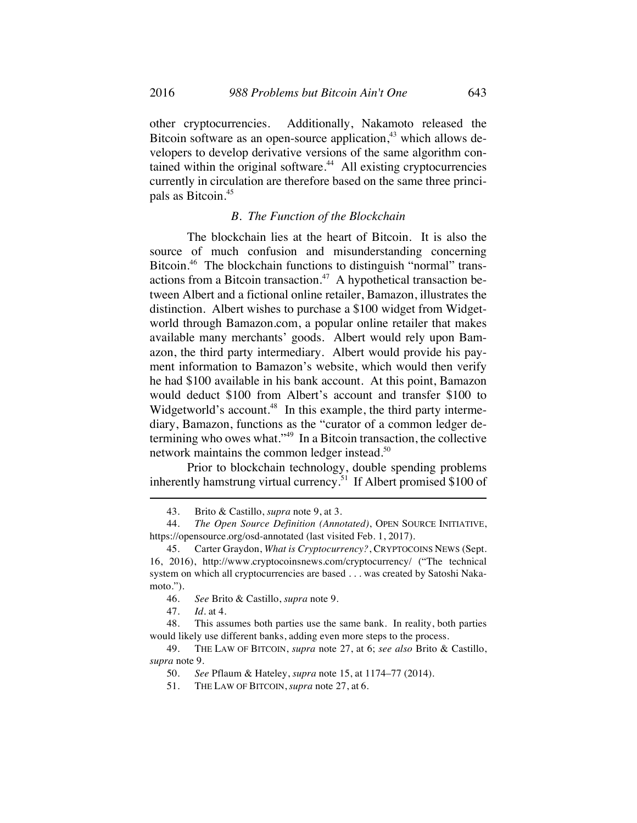other cryptocurrencies. Additionally, Nakamoto released the Bitcoin software as an open-source application, $43$  which allows developers to develop derivative versions of the same algorithm contained within the original software. $44$  All existing cryptocurrencies currently in circulation are therefore based on the same three principals as Bitcoin.<sup>45</sup>

# *B. The Function of the Blockchain*

The blockchain lies at the heart of Bitcoin. It is also the source of much confusion and misunderstanding concerning Bitcoin.<sup>46</sup> The blockchain functions to distinguish "normal" transactions from a Bitcoin transaction.<sup>47</sup> A hypothetical transaction between Albert and a fictional online retailer, Bamazon, illustrates the distinction. Albert wishes to purchase a \$100 widget from Widgetworld through Bamazon.com, a popular online retailer that makes available many merchants' goods. Albert would rely upon Bamazon, the third party intermediary. Albert would provide his payment information to Bamazon's website, which would then verify he had \$100 available in his bank account. At this point, Bamazon would deduct \$100 from Albert's account and transfer \$100 to Widgetworld's account.<sup>48</sup> In this example, the third party intermediary, Bamazon, functions as the "curator of a common ledger determining who owes what."49 In a Bitcoin transaction, the collective network maintains the common ledger instead. 50

Prior to blockchain technology, double spending problems inherently hamstrung virtual currency.<sup>51</sup> If Albert promised \$100 of

47. *Id.* at 4.

<sup>43.</sup> Brito & Castillo, *supra* note 9, at 3.

<sup>44.</sup> *The Open Source Definition (Annotated)*, OPEN SOURCE INITIATIVE, https://opensource.org/osd-annotated (last visited Feb. 1, 2017).

<sup>45.</sup> Carter Graydon, *What is Cryptocurrency?*, CRYPTOCOINS NEWS (Sept. 16, 2016), http://www.cryptocoinsnews.com/cryptocurrency/ ("The technical system on which all cryptocurrencies are based . . . was created by Satoshi Nakamoto.").

<sup>46.</sup> *See* Brito & Castillo, *supra* note 9.

<sup>48.</sup> This assumes both parties use the same bank. In reality, both parties would likely use different banks, adding even more steps to the process.

<sup>49.</sup> THE LAW OF BITCOIN, *supra* note 27, at 6; *see also* Brito & Castillo, *supra* note 9.

<sup>50.</sup> *See* Pflaum & Hateley, *supra* note 15, at 1174–77 (2014).

<sup>51.</sup> THE LAW OF BITCOIN, *supra* note 27, at 6.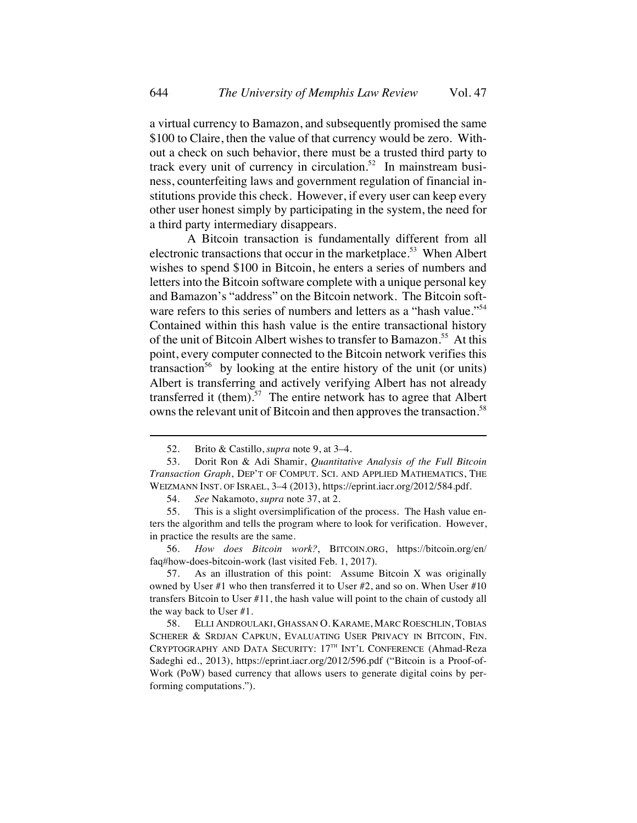a virtual currency to Bamazon, and subsequently promised the same \$100 to Claire, then the value of that currency would be zero. Without a check on such behavior, there must be a trusted third party to track every unit of currency in circulation.<sup>52</sup> In mainstream business, counterfeiting laws and government regulation of financial institutions provide this check. However, if every user can keep every other user honest simply by participating in the system, the need for a third party intermediary disappears.

A Bitcoin transaction is fundamentally different from all electronic transactions that occur in the marketplace.<sup>53</sup> When Albert wishes to spend \$100 in Bitcoin, he enters a series of numbers and letters into the Bitcoin software complete with a unique personal key and Bamazon's "address" on the Bitcoin network. The Bitcoin software refers to this series of numbers and letters as a "hash value."<sup>54</sup> Contained within this hash value is the entire transactional history of the unit of Bitcoin Albert wishes to transfer to Bamazon.<sup>55</sup> At this point, every computer connected to the Bitcoin network verifies this transaction<sup>56</sup> by looking at the entire history of the unit (or units) Albert is transferring and actively verifying Albert has not already transferred it (them).<sup>57</sup> The entire network has to agree that Albert owns the relevant unit of Bitcoin and then approves the transaction.<sup>58</sup>

<sup>52.</sup> Brito & Castillo, *supra* note 9, at 3–4.

<sup>53.</sup> Dorit Ron & Adi Shamir, *Quantitative Analysis of the Full Bitcoin Transaction Graph*, DEP'T OF COMPUT. SCI. AND APPLIED MATHEMATICS, THE WEIZMANN INST. OF ISRAEL, 3–4 (2013), https://eprint.iacr.org/2012/584.pdf.

<sup>54.</sup> *See* Nakamoto, *supra* note 37, at 2.

<sup>55.</sup> This is a slight oversimplification of the process. The Hash value enters the algorithm and tells the program where to look for verification. However, in practice the results are the same.

<sup>56.</sup> *How does Bitcoin work?*, BITCOIN.ORG, https://bitcoin.org/en/ faq#how-does-bitcoin-work (last visited Feb. 1, 2017).

<sup>57.</sup> As an illustration of this point: Assume Bitcoin X was originally owned by User #1 who then transferred it to User #2, and so on. When User #10 transfers Bitcoin to User #11, the hash value will point to the chain of custody all the way back to User #1.

<sup>58.</sup> ELLI ANDROULAKI, GHASSAN O. KARAME, MARC ROESCHLIN, TOBIAS SCHERER & SRDJAN CAPKUN, EVALUATING USER PRIVACY IN BITCOIN, FIN. CRYPTOGRAPHY AND DATA SECURITY: 17TH INT'L CONFERENCE (Ahmad-Reza Sadeghi ed., 2013), https://eprint.iacr.org/2012/596.pdf ("Bitcoin is a Proof-of-Work (PoW) based currency that allows users to generate digital coins by performing computations.").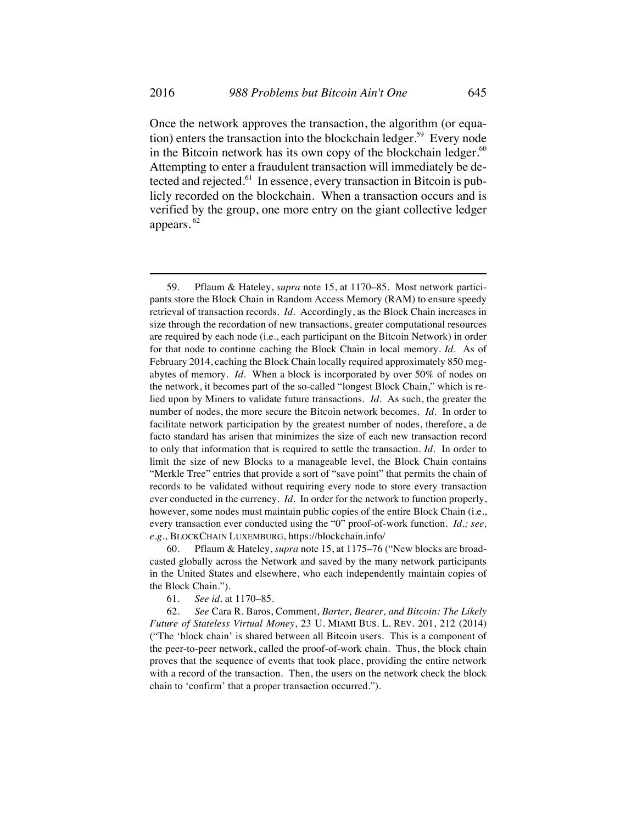Once the network approves the transaction, the algorithm (or equation) enters the transaction into the blockchain ledger.<sup>59</sup> Every node in the Bitcoin network has its own copy of the blockchain ledger. $60$ Attempting to enter a fraudulent transaction will immediately be detected and rejected.<sup>61</sup> In essence, every transaction in Bitcoin is publicly recorded on the blockchain. When a transaction occurs and is verified by the group, one more entry on the giant collective ledger appears. <sup>62</sup>

60. Pflaum & Hateley, *supra* note 15, at 1175–76 ("New blocks are broadcasted globally across the Network and saved by the many network participants in the United States and elsewhere, who each independently maintain copies of the Block Chain.").

61. *See id.* at 1170–85.

62. *See* Cara R. Baros, Comment, *Barter, Bearer, and Bitcoin: The Likely Future of Stateless Virtual Money*, 23 U. MIAMI BUS. L. REV. 201, 212 (2014) ("The 'block chain' is shared between all Bitcoin users. This is a component of the peer-to-peer network, called the proof-of-work chain. Thus, the block chain proves that the sequence of events that took place, providing the entire network with a record of the transaction. Then, the users on the network check the block chain to 'confirm' that a proper transaction occurred.").

<sup>59.</sup> Pflaum & Hateley, *supra* note 15, at 1170–85. Most network participants store the Block Chain in Random Access Memory (RAM) to ensure speedy retrieval of transaction records. *Id.* Accordingly, as the Block Chain increases in size through the recordation of new transactions, greater computational resources are required by each node (i.e., each participant on the Bitcoin Network) in order for that node to continue caching the Block Chain in local memory. *Id.* As of February 2014, caching the Block Chain locally required approximately 850 megabytes of memory. *Id.* When a block is incorporated by over 50% of nodes on the network, it becomes part of the so-called "longest Block Chain," which is relied upon by Miners to validate future transactions. *Id.* As such, the greater the number of nodes, the more secure the Bitcoin network becomes. *Id.* In order to facilitate network participation by the greatest number of nodes, therefore, a de facto standard has arisen that minimizes the size of each new transaction record to only that information that is required to settle the transaction. *Id.* In order to limit the size of new Blocks to a manageable level, the Block Chain contains "Merkle Tree" entries that provide a sort of "save point" that permits the chain of records to be validated without requiring every node to store every transaction ever conducted in the currency. *Id.* In order for the network to function properly, however, some nodes must maintain public copies of the entire Block Chain (i.e., every transaction ever conducted using the "0" proof-of-work function. *Id.; see, e.g.*, BLOCKCHAIN LUXEMBURG, https://blockchain.info/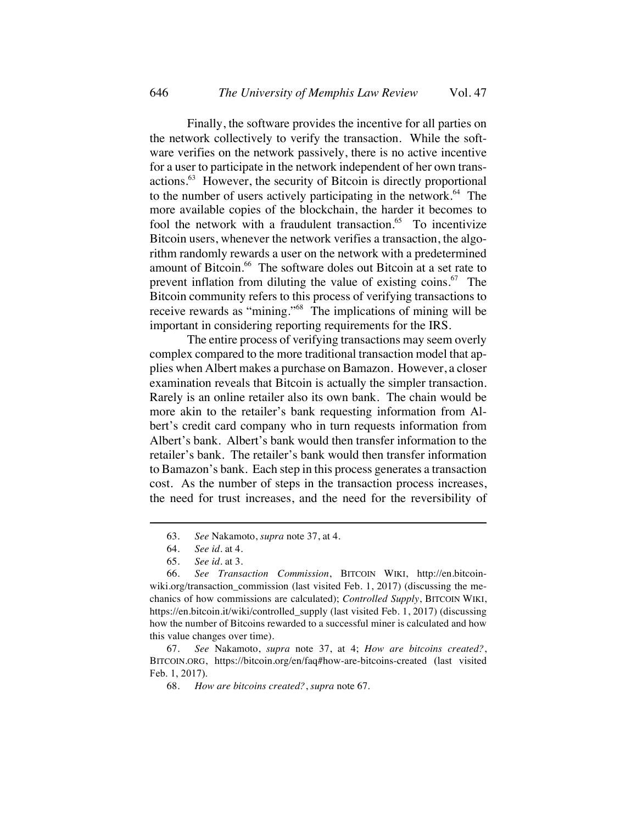Finally, the software provides the incentive for all parties on the network collectively to verify the transaction. While the software verifies on the network passively, there is no active incentive for a user to participate in the network independent of her own transactions.63 However, the security of Bitcoin is directly proportional to the number of users actively participating in the network.<sup>64</sup> The more available copies of the blockchain, the harder it becomes to fool the network with a fraudulent transaction. $65$  To incentivize Bitcoin users, whenever the network verifies a transaction, the algorithm randomly rewards a user on the network with a predetermined amount of Bitcoin.<sup>66</sup> The software doles out Bitcoin at a set rate to prevent inflation from diluting the value of existing coins.<sup>67</sup> The Bitcoin community refers to this process of verifying transactions to receive rewards as "mining."68 The implications of mining will be important in considering reporting requirements for the IRS.

The entire process of verifying transactions may seem overly complex compared to the more traditional transaction model that applies when Albert makes a purchase on Bamazon. However, a closer examination reveals that Bitcoin is actually the simpler transaction. Rarely is an online retailer also its own bank. The chain would be more akin to the retailer's bank requesting information from Albert's credit card company who in turn requests information from Albert's bank. Albert's bank would then transfer information to the retailer's bank. The retailer's bank would then transfer information to Bamazon's bank. Each step in this process generates a transaction cost. As the number of steps in the transaction process increases, the need for trust increases, and the need for the reversibility of

<sup>63.</sup> *See* Nakamoto, *supra* note 37, at 4.

<sup>64.</sup> *See id.* at 4.

<sup>65.</sup> *See id.* at 3.

<sup>66.</sup> *See Transaction Commission*, BITCOIN WIKI, http://en.bitcoinwiki.org/transaction commission (last visited Feb. 1, 2017) (discussing the mechanics of how commissions are calculated); *Controlled Supply*, BITCOIN WIKI, https://en.bitcoin.it/wiki/controlled\_supply (last visited Feb. 1, 2017) (discussing how the number of Bitcoins rewarded to a successful miner is calculated and how this value changes over time).

<sup>67.</sup> *See* Nakamoto, *supra* note 37, at 4; *How are bitcoins created?*, BITCOIN.ORG, https://bitcoin.org/en/faq#how-are-bitcoins-created (last visited Feb. 1, 2017).

<sup>68.</sup> *How are bitcoins created?*, *supra* note 67.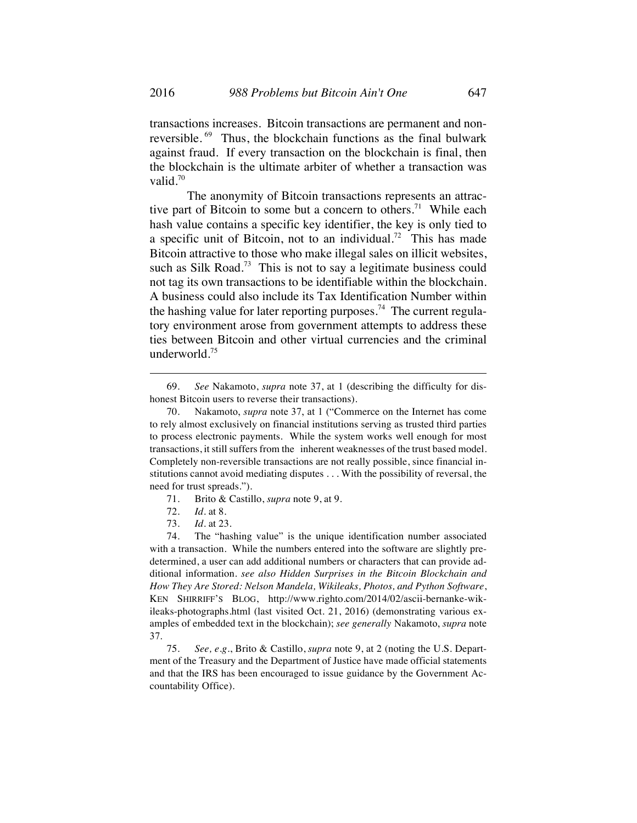transactions increases. Bitcoin transactions are permanent and nonreversible.<sup>69</sup> Thus, the blockchain functions as the final bulwark against fraud. If every transaction on the blockchain is final, then the blockchain is the ultimate arbiter of whether a transaction was valid. $70$ 

The anonymity of Bitcoin transactions represents an attractive part of Bitcoin to some but a concern to others.<sup>71</sup> While each hash value contains a specific key identifier, the key is only tied to a specific unit of Bitcoin, not to an individual.<sup>72</sup> This has made Bitcoin attractive to those who make illegal sales on illicit websites, such as Silk Road.<sup>73</sup> This is not to say a legitimate business could not tag its own transactions to be identifiable within the blockchain. A business could also include its Tax Identification Number within the hashing value for later reporting purposes.<sup>74</sup> The current regulatory environment arose from government attempts to address these ties between Bitcoin and other virtual currencies and the criminal underworld. 75

- 71. Brito & Castillo, *supra* note 9, at 9.
- 72. *Id.* at 8.
- 73. *Id.* at 23.

<sup>69.</sup> *See* Nakamoto, *supra* note 37, at 1 (describing the difficulty for dishonest Bitcoin users to reverse their transactions).

<sup>70.</sup> Nakamoto, *supra* note 37, at 1 ("Commerce on the Internet has come to rely almost exclusively on financial institutions serving as trusted third parties to process electronic payments. While the system works well enough for most transactions, it still suffers from the inherent weaknesses of the trust based model. Completely non-reversible transactions are not really possible, since financial institutions cannot avoid mediating disputes . . . With the possibility of reversal, the need for trust spreads.").

<sup>74.</sup> The "hashing value" is the unique identification number associated with a transaction. While the numbers entered into the software are slightly predetermined, a user can add additional numbers or characters that can provide additional information. *see also Hidden Surprises in the Bitcoin Blockchain and How They Are Stored: Nelson Mandela, Wikileaks, Photos, and Python Software*, KEN SHIRRIFF'S BLOG, http://www.righto.com/2014/02/ascii-bernanke-wikileaks-photographs.html (last visited Oct. 21, 2016) (demonstrating various examples of embedded text in the blockchain); *see generally* Nakamoto, *supra* note 37.

<sup>75.</sup> *See, e.g.*, Brito & Castillo, *supra* note 9, at 2 (noting the U.S. Department of the Treasury and the Department of Justice have made official statements and that the IRS has been encouraged to issue guidance by the Government Accountability Office).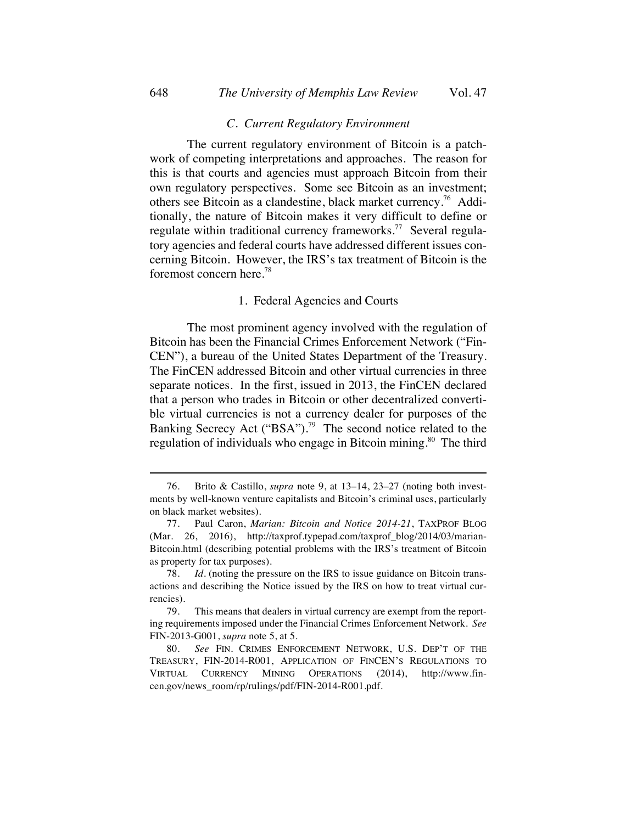#### *C. Current Regulatory Environment*

The current regulatory environment of Bitcoin is a patchwork of competing interpretations and approaches. The reason for this is that courts and agencies must approach Bitcoin from their own regulatory perspectives. Some see Bitcoin as an investment; others see Bitcoin as a clandestine, black market currency.<sup>76</sup> Additionally, the nature of Bitcoin makes it very difficult to define or regulate within traditional currency frameworks.<sup>77</sup> Several regulatory agencies and federal courts have addressed different issues concerning Bitcoin. However, the IRS's tax treatment of Bitcoin is the foremost concern here. 78

#### 1. Federal Agencies and Courts

The most prominent agency involved with the regulation of Bitcoin has been the Financial Crimes Enforcement Network ("Fin-CEN"), a bureau of the United States Department of the Treasury. The FinCEN addressed Bitcoin and other virtual currencies in three separate notices. In the first, issued in 2013, the FinCEN declared that a person who trades in Bitcoin or other decentralized convertible virtual currencies is not a currency dealer for purposes of the Banking Secrecy Act ("BSA").<sup>79</sup> The second notice related to the regulation of individuals who engage in Bitcoin mining.<sup>80</sup> The third

<sup>76.</sup> Brito & Castillo, *supra* note 9, at 13–14, 23–27 (noting both investments by well-known venture capitalists and Bitcoin's criminal uses, particularly on black market websites).

<sup>77.</sup> Paul Caron, *Marian: Bitcoin and Notice 2014-21*, TAXPROF BLOG (Mar. 26, 2016), http://taxprof.typepad.com/taxprof\_blog/2014/03/marian-Bitcoin.html (describing potential problems with the IRS's treatment of Bitcoin as property for tax purposes).

<sup>78.</sup> *Id.* (noting the pressure on the IRS to issue guidance on Bitcoin transactions and describing the Notice issued by the IRS on how to treat virtual currencies).

<sup>79.</sup> This means that dealers in virtual currency are exempt from the reporting requirements imposed under the Financial Crimes Enforcement Network. *See* FIN-2013-G001, *supra* note 5, at 5.

<sup>80.</sup> *See* FIN. CRIMES ENFORCEMENT NETWORK, U.S. DEP'T OF THE TREASURY, FIN-2014-R001, APPLICATION OF FINCEN'S REGULATIONS TO VIRTUAL CURRENCY MINING OPERATIONS (2014), http://www.fincen.gov/news\_room/rp/rulings/pdf/FIN-2014-R001.pdf.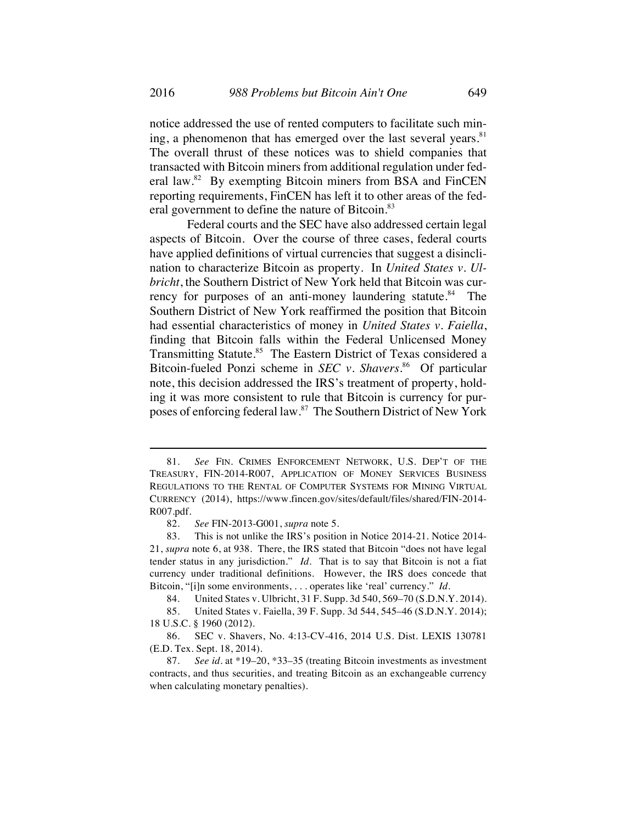notice addressed the use of rented computers to facilitate such mining, a phenomenon that has emerged over the last several years. $81$ The overall thrust of these notices was to shield companies that transacted with Bitcoin miners from additional regulation under federal law.82 By exempting Bitcoin miners from BSA and FinCEN reporting requirements, FinCEN has left it to other areas of the federal government to define the nature of Bitcoin.<sup>83</sup>

Federal courts and the SEC have also addressed certain legal aspects of Bitcoin. Over the course of three cases, federal courts have applied definitions of virtual currencies that suggest a disinclination to characterize Bitcoin as property. In *United States v. Ulbricht*, the Southern District of New York held that Bitcoin was currency for purposes of an anti-money laundering statute.<sup>84</sup> The Southern District of New York reaffirmed the position that Bitcoin had essential characteristics of money in *United States v. Faiella*, finding that Bitcoin falls within the Federal Unlicensed Money Transmitting Statute.<sup>85</sup> The Eastern District of Texas considered a Bitcoin-fueled Ponzi scheme in *SEC v. Shavers*. 86 Of particular note, this decision addressed the IRS's treatment of property, holding it was more consistent to rule that Bitcoin is currency for purposes of enforcing federal law.87 The Southern District of New York

<sup>81.</sup> *See* FIN. CRIMES ENFORCEMENT NETWORK, U.S. DEP'T OF THE TREASURY, FIN-2014-R007, APPLICATION OF MONEY SERVICES BUSINESS REGULATIONS TO THE RENTAL OF COMPUTER SYSTEMS FOR MINING VIRTUAL CURRENCY (2014), https://www.fincen.gov/sites/default/files/shared/FIN-2014- R007.pdf.

<sup>82.</sup> *See* FIN-2013-G001, *supra* note 5.

<sup>83.</sup> This is not unlike the IRS's position in Notice 2014-21. Notice 2014- 21, *supra* note 6, at 938. There, the IRS stated that Bitcoin "does not have legal tender status in any jurisdiction." *Id.* That is to say that Bitcoin is not a fiat currency under traditional definitions. However, the IRS does concede that Bitcoin, "[i]n some environments, . . . operates like 'real' currency." *Id.*

<sup>84.</sup> United States v. Ulbricht, 31 F. Supp. 3d 540, 569–70 (S.D.N.Y. 2014).

<sup>85.</sup> United States v. Faiella, 39 F. Supp. 3d 544, 545–46 (S.D.N.Y. 2014); 18 U.S.C. § 1960 (2012).

<sup>86.</sup> SEC v. Shavers, No. 4:13-CV-416, 2014 U.S. Dist. LEXIS 130781 (E.D. Tex. Sept. 18, 2014).

<sup>87.</sup> *See id.* at \*19–20, \*33–35 (treating Bitcoin investments as investment contracts, and thus securities, and treating Bitcoin as an exchangeable currency when calculating monetary penalties).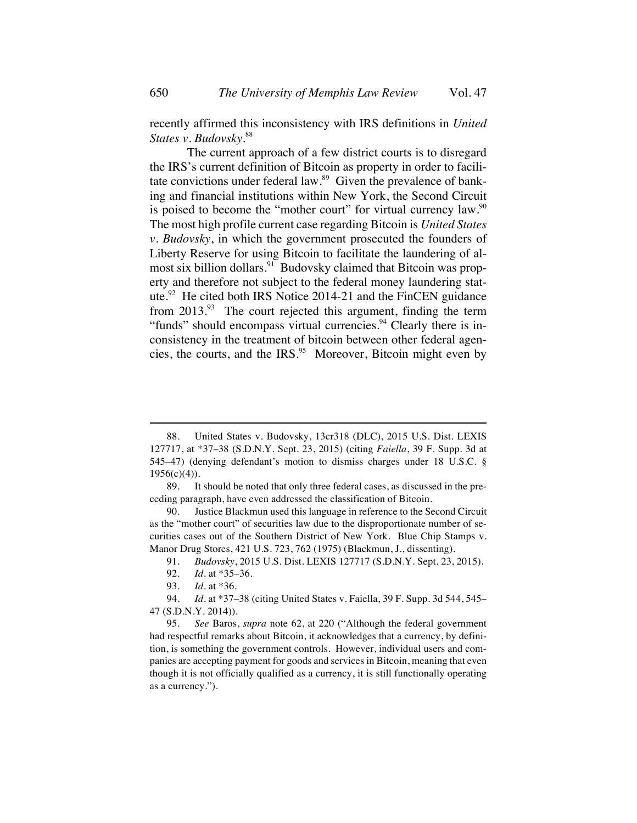recently affirmed this inconsistency with IRS definitions in *United States v. Budovsky.*<sup>88</sup>

The current approach of a few district courts is to disregard the IRS's current definition of Bitcoin as property in order to facilitate convictions under federal law.<sup>89</sup> Given the prevalence of banking and financial institutions within New York, the Second Circuit is poised to become the "mother court" for virtual currency law.<sup>90</sup> The most high profile current case regarding Bitcoin is *United States v. Budovsky*, in which the government prosecuted the founders of Liberty Reserve for using Bitcoin to facilitate the laundering of almost six billion dollars.<sup>91</sup> Budovsky claimed that Bitcoin was property and therefore not subject to the federal money laundering statute.<sup>92</sup> He cited both IRS Notice 2014-21 and the FinCEN guidance from  $2013.^{93}$  The court rejected this argument, finding the term "funds" should encompass virtual currencies.<sup>94</sup> Clearly there is inconsistency in the treatment of bitcoin between other federal agencies, the courts, and the IRS. 95 Moreover, Bitcoin might even by

<sup>88.</sup> United States v. Budovsky, 13cr318 (DLC), 2015 U.S. Dist. LEXIS 127717, at \*37–38 (S.D.N.Y. Sept. 23, 2015) (citing *Faiella*, 39 F. Supp. 3d at 545–47) (denying defendant's motion to dismiss charges under 18 U.S.C. §  $1956(c)(4)$ .

<sup>89.</sup> It should be noted that only three federal cases, as discussed in the preceding paragraph, have even addressed the classification of Bitcoin.

<sup>90.</sup> Justice Blackmun used this language in reference to the Second Circuit as the "mother court" of securities law due to the disproportionate number of securities cases out of the Southern District of New York. Blue Chip Stamps v. Manor Drug Stores, 421 U.S. 723, 762 (1975) (Blackmun, J., dissenting).

<sup>91.</sup> *Budovsky*, 2015 U.S. Dist. LEXIS 127717 (S.D.N.Y. Sept. 23, 2015).

<sup>92.</sup> *Id.* at \*35–36.

<sup>93.</sup> *Id.* at \*36.

<sup>94.</sup> *Id.* at \*37–38 (citing United States v. Faiella, 39 F. Supp. 3d 544, 545– 47 (S.D.N.Y. 2014)).

<sup>95.</sup> *See* Baros, *supra* note 62, at 220 ("Although the federal government had respectful remarks about Bitcoin, it acknowledges that a currency, by definition, is something the government controls. However, individual users and companies are accepting payment for goods and services in Bitcoin, meaning that even though it is not officially qualified as a currency, it is still functionally operating as a currency.").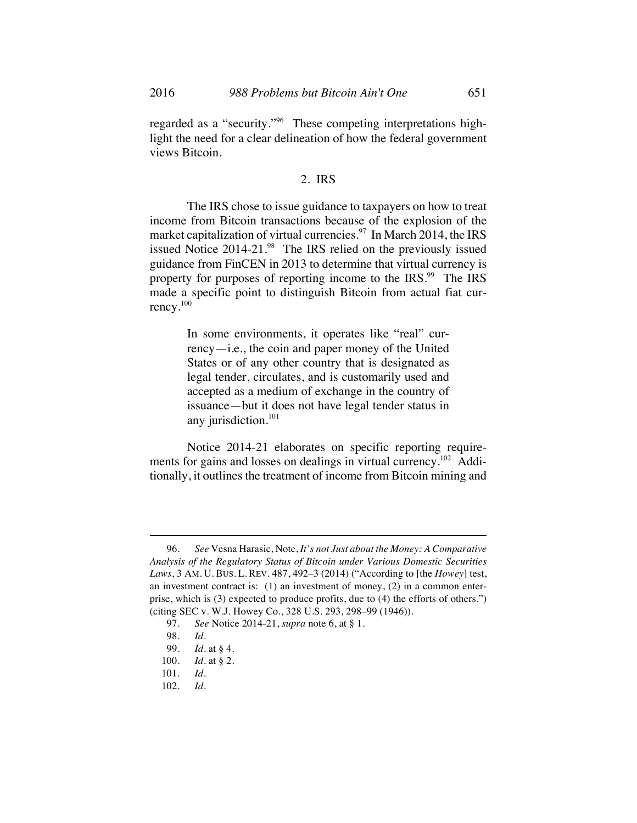regarded as a "security."<sup>96</sup> These competing interpretations highlight the need for a clear delineation of how the federal government views Bitcoin.

## 2. IRS

The IRS chose to issue guidance to taxpayers on how to treat income from Bitcoin transactions because of the explosion of the market capitalization of virtual currencies.<sup>97</sup> In March 2014, the IRS issued Notice  $2014-21.^{98}$  The IRS relied on the previously issued guidance from FinCEN in 2013 to determine that virtual currency is property for purposes of reporting income to the IRS.<sup>99</sup> The IRS made a specific point to distinguish Bitcoin from actual fiat currency.<sup>100</sup>

> In some environments, it operates like "real" currency—i.e., the coin and paper money of the United States or of any other country that is designated as legal tender, circulates, and is customarily used and accepted as a medium of exchange in the country of issuance—but it does not have legal tender status in any jurisdiction.<sup>101</sup>

Notice 2014-21 elaborates on specific reporting requirements for gains and losses on dealings in virtual currency.<sup>102</sup> Additionally, it outlines the treatment of income from Bitcoin mining and

<sup>96.</sup> *See* Vesna Harasic, Note, *It's not Just about the Money: A Comparative Analysis of the Regulatory Status of Bitcoin under Various Domestic Securities Laws*, 3 AM. U. BUS. L. REV. 487, 492–3 (2014) ("According to [the *Howey*] test, an investment contract is: (1) an investment of money, (2) in a common enterprise, which is (3) expected to produce profits, due to (4) the efforts of others.") (citing SEC v. W.J. Howey Co., 328 U.S. 293, 298–99 (1946)).

<sup>97.</sup> *See* Notice 2014-21, *supra* note 6, at § 1.

<sup>98.</sup> *Id.*

<sup>99.</sup> *Id.* at § 4.

<sup>100.</sup> *Id.* at § 2.

<sup>101.</sup> *Id.*

<sup>102.</sup> *Id.*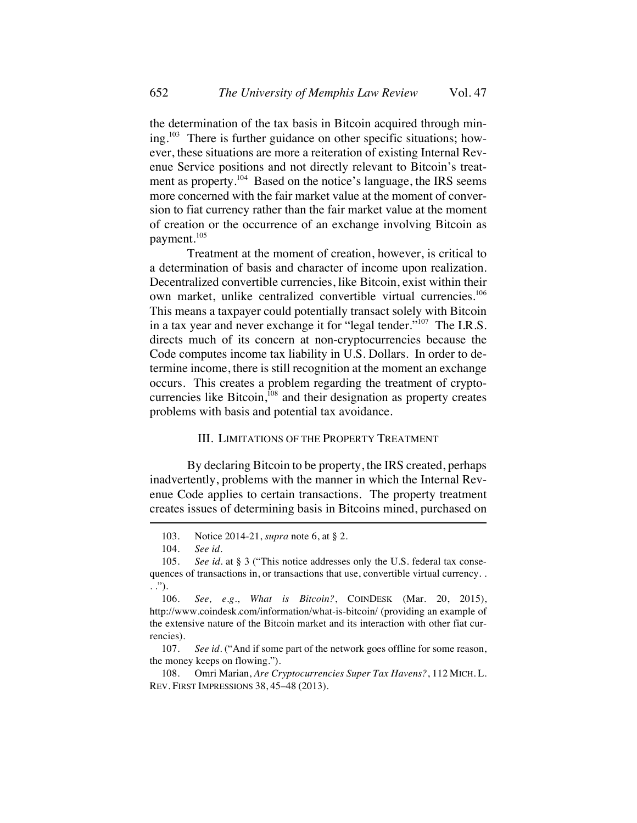the determination of the tax basis in Bitcoin acquired through mining.<sup>103</sup> There is further guidance on other specific situations; however, these situations are more a reiteration of existing Internal Revenue Service positions and not directly relevant to Bitcoin's treatment as property.<sup>104</sup> Based on the notice's language, the IRS seems more concerned with the fair market value at the moment of conversion to fiat currency rather than the fair market value at the moment of creation or the occurrence of an exchange involving Bitcoin as payment.105

Treatment at the moment of creation, however, is critical to a determination of basis and character of income upon realization. Decentralized convertible currencies, like Bitcoin, exist within their own market, unlike centralized convertible virtual currencies.<sup>106</sup> This means a taxpayer could potentially transact solely with Bitcoin in a tax year and never exchange it for "legal tender."<sup>107</sup> The I.R.S. directs much of its concern at non-cryptocurrencies because the Code computes income tax liability in U.S. Dollars. In order to determine income, there is still recognition at the moment an exchange occurs. This creates a problem regarding the treatment of cryptocurrencies like Bitcoin, $108$  and their designation as property creates problems with basis and potential tax avoidance.

## III. LIMITATIONS OF THE PROPERTY TREATMENT

By declaring Bitcoin to be property, the IRS created, perhaps inadvertently, problems with the manner in which the Internal Revenue Code applies to certain transactions. The property treatment creates issues of determining basis in Bitcoins mined, purchased on

108. Omri Marian, *Are Cryptocurrencies Super Tax Havens?*, 112 MICH. L. REV. FIRST IMPRESSIONS 38, 45–48 (2013).

<sup>103.</sup> Notice 2014-21, *supra* note 6, at § 2.

<sup>104.</sup> *See id.*

<sup>105.</sup> *See id.* at § 3 ("This notice addresses only the U.S. federal tax consequences of transactions in, or transactions that use, convertible virtual currency. . . .").

<sup>106.</sup> *See, e.g.*, *What is Bitcoin?*, COINDESK (Mar. 20, 2015), http://www.coindesk.com/information/what-is-bitcoin/ (providing an example of the extensive nature of the Bitcoin market and its interaction with other fiat currencies).

<sup>107.</sup> *See id.* ("And if some part of the network goes offline for some reason, the money keeps on flowing.").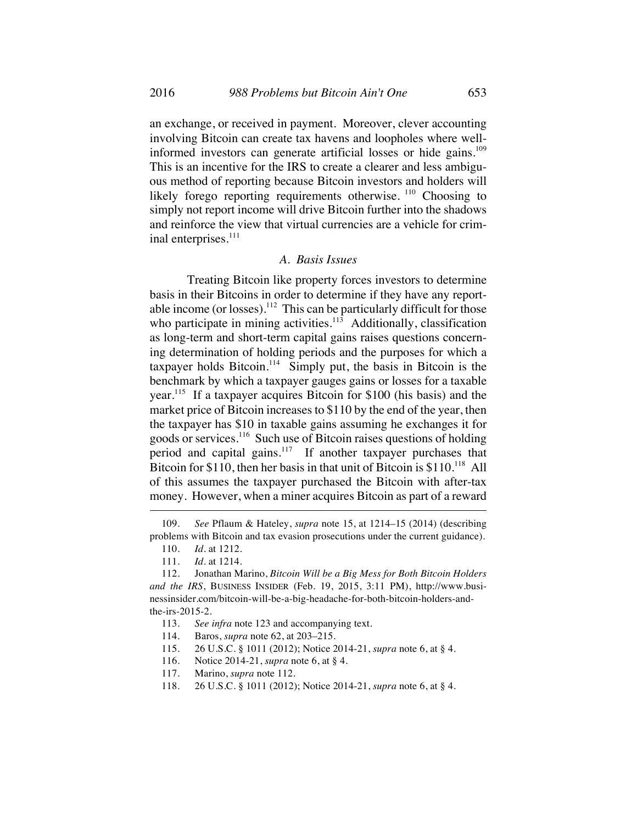an exchange, or received in payment. Moreover, clever accounting involving Bitcoin can create tax havens and loopholes where wellinformed investors can generate artificial losses or hide gains.<sup>109</sup> This is an incentive for the IRS to create a clearer and less ambiguous method of reporting because Bitcoin investors and holders will likely forego reporting requirements otherwise.  $110$  Choosing to simply not report income will drive Bitcoin further into the shadows and reinforce the view that virtual currencies are a vehicle for criminal enterprises.<sup>111</sup>

## *A. Basis Issues*

Treating Bitcoin like property forces investors to determine basis in their Bitcoins in order to determine if they have any reportable income (or losses).<sup>112</sup> This can be particularly difficult for those who participate in mining activities. $113$  Additionally, classification as long-term and short-term capital gains raises questions concerning determination of holding periods and the purposes for which a taxpayer holds Bitcoin.<sup>114</sup> Simply put, the basis in Bitcoin is the benchmark by which a taxpayer gauges gains or losses for a taxable year.115 If a taxpayer acquires Bitcoin for \$100 (his basis) and the market price of Bitcoin increases to \$110 by the end of the year, then the taxpayer has \$10 in taxable gains assuming he exchanges it for goods or services.116 Such use of Bitcoin raises questions of holding period and capital gains.117 If another taxpayer purchases that Bitcoin for \$110, then her basis in that unit of Bitcoin is  $$110.<sup>118</sup>$  All of this assumes the taxpayer purchased the Bitcoin with after-tax money. However, when a miner acquires Bitcoin as part of a reward

- 115. 26 U.S.C. § 1011 (2012); Notice 2014-21, *supra* note 6, at § 4.
- 116. Notice 2014-21, *supra* note 6, at § 4.
- 117. Marino, *supra* note 112.
- 118. 26 U.S.C. § 1011 (2012); Notice 2014-21, *supra* note 6, at § 4.

<sup>109.</sup> *See* Pflaum & Hateley, *supra* note 15, at 1214–15 (2014) (describing problems with Bitcoin and tax evasion prosecutions under the current guidance).

<sup>110.</sup> *Id.* at 1212.

<sup>111.</sup> *Id.* at 1214.

<sup>112.</sup> Jonathan Marino, *Bitcoin Will be a Big Mess for Both Bitcoin Holders and the IRS*, BUSINESS INSIDER (Feb. 19, 2015, 3:11 PM), http://www.businessinsider.com/bitcoin-will-be-a-big-headache-for-both-bitcoin-holders-andthe-irs-2015-2.

<sup>113.</sup> *See infra* note 123 and accompanying text.

<sup>114.</sup> Baros, *supra* note 62, at 203–215.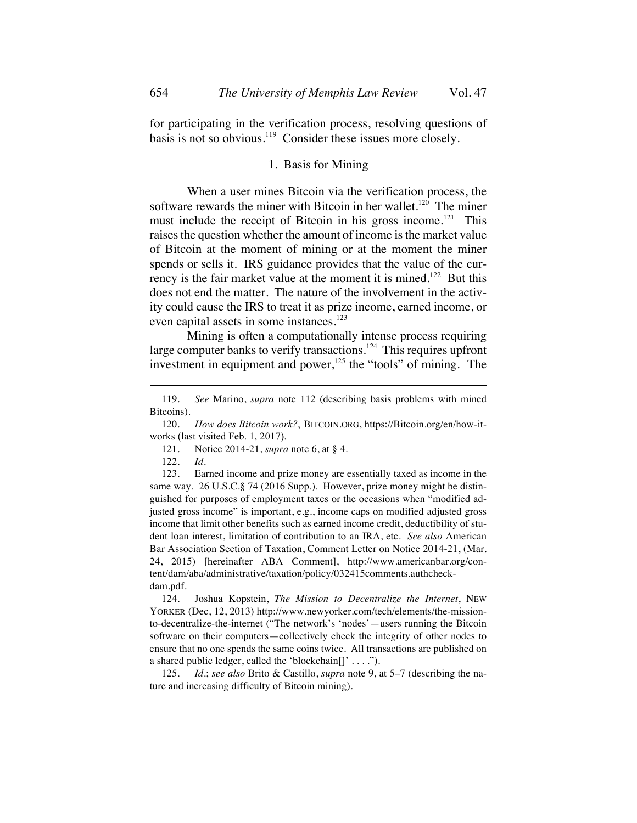for participating in the verification process, resolving questions of basis is not so obvious.<sup>119</sup> Consider these issues more closely.

## 1. Basis for Mining

When a user mines Bitcoin via the verification process, the software rewards the miner with Bitcoin in her wallet.<sup>120</sup> The miner must include the receipt of Bitcoin in his gross income.<sup>121</sup> This raises the question whether the amount of income is the market value of Bitcoin at the moment of mining or at the moment the miner spends or sells it. IRS guidance provides that the value of the currency is the fair market value at the moment it is mined.<sup>122</sup> But this does not end the matter. The nature of the involvement in the activity could cause the IRS to treat it as prize income, earned income, or even capital assets in some instances.<sup>123</sup>

Mining is often a computationally intense process requiring large computer banks to verify transactions.<sup>124</sup> This requires upfront investment in equipment and power, $125$  the "tools" of mining. The

123. Earned income and prize money are essentially taxed as income in the same way. 26 U.S.C.§ 74 (2016 Supp.). However, prize money might be distinguished for purposes of employment taxes or the occasions when "modified adjusted gross income" is important, e.g., income caps on modified adjusted gross income that limit other benefits such as earned income credit, deductibility of student loan interest, limitation of contribution to an IRA, etc. *See also* American Bar Association Section of Taxation, Comment Letter on Notice 2014-21, (Mar. 24, 2015) [hereinafter ABA Comment], http://www.americanbar.org/content/dam/aba/administrative/taxation/policy/032415comments.authcheckdam.pdf.

124. Joshua Kopstein, *The Mission to Decentralize the Internet*, NEW YORKER (Dec, 12, 2013) http://www.newyorker.com/tech/elements/the-missionto-decentralize-the-internet ("The network's 'nodes'—users running the Bitcoin software on their computers—collectively check the integrity of other nodes to ensure that no one spends the same coins twice. All transactions are published on a shared public ledger, called the 'blockchain $[]' \ldots$ '').

125. *Id.*; *see also* Brito & Castillo, *supra* note 9, at 5–7 (describing the nature and increasing difficulty of Bitcoin mining).

<sup>119.</sup> *See* Marino, *supra* note 112 (describing basis problems with mined Bitcoins).

<sup>120.</sup> *How does Bitcoin work?*, BITCOIN.ORG, https://Bitcoin.org/en/how-itworks (last visited Feb. 1, 2017).

<sup>121.</sup> Notice 2014-21, *supra* note 6, at § 4.

<sup>122.</sup> *Id.*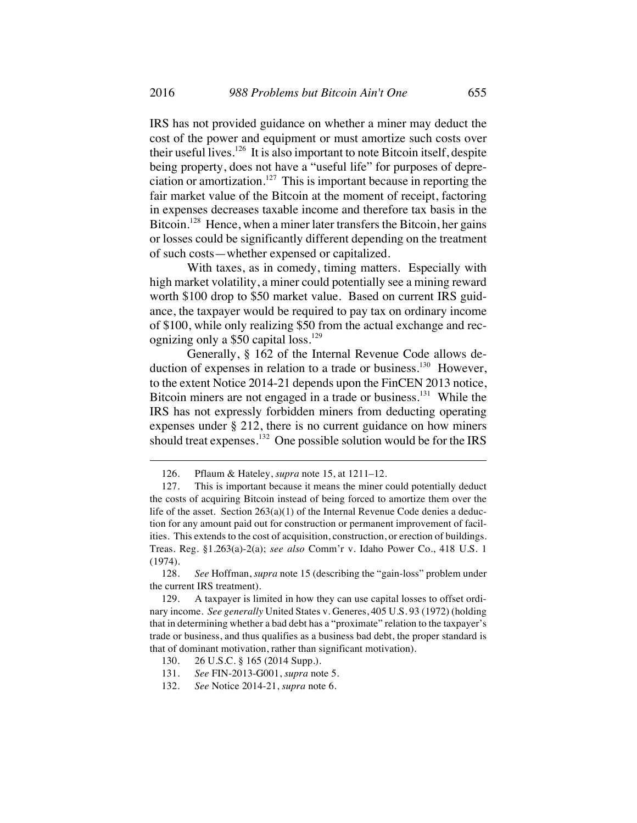IRS has not provided guidance on whether a miner may deduct the cost of the power and equipment or must amortize such costs over their useful lives.<sup>126</sup> It is also important to note Bitcoin itself, despite being property, does not have a "useful life" for purposes of depreciation or amortization.<sup>127</sup> This is important because in reporting the fair market value of the Bitcoin at the moment of receipt, factoring in expenses decreases taxable income and therefore tax basis in the Bitcoin.<sup>128</sup> Hence, when a miner later transfers the Bitcoin, her gains or losses could be significantly different depending on the treatment of such costs—whether expensed or capitalized.

With taxes, as in comedy, timing matters. Especially with high market volatility, a miner could potentially see a mining reward worth \$100 drop to \$50 market value. Based on current IRS guidance, the taxpayer would be required to pay tax on ordinary income of \$100, while only realizing \$50 from the actual exchange and recognizing only a  $$50$  capital loss.<sup>129</sup>

Generally, § 162 of the Internal Revenue Code allows deduction of expenses in relation to a trade or business.<sup>130</sup> However, to the extent Notice 2014-21 depends upon the FinCEN 2013 notice, Bitcoin miners are not engaged in a trade or business.<sup>131</sup> While the IRS has not expressly forbidden miners from deducting operating expenses under § 212, there is no current guidance on how miners should treat expenses.<sup>132</sup> One possible solution would be for the IRS

- 130. 26 U.S.C. § 165 (2014 Supp.).
- 131. *See* FIN-2013-G001, *supra* note 5.
- 132. *See* Notice 2014-21, *supra* note 6.

<sup>126.</sup> Pflaum & Hateley, *supra* note 15, at 1211–12.

<sup>127.</sup> This is important because it means the miner could potentially deduct the costs of acquiring Bitcoin instead of being forced to amortize them over the life of the asset. Section  $263(a)(1)$  of the Internal Revenue Code denies a deduction for any amount paid out for construction or permanent improvement of facilities. This extends to the cost of acquisition, construction, or erection of buildings. Treas. Reg. §1.263(a)-2(a); *see also* Comm'r v. Idaho Power Co., 418 U.S. 1 (1974).

<sup>128.</sup> *See* Hoffman, *supra* note 15 (describing the "gain-loss" problem under the current IRS treatment).

<sup>129.</sup> A taxpayer is limited in how they can use capital losses to offset ordinary income. *See generally* United States v. Generes, 405 U.S. 93 (1972) (holding that in determining whether a bad debt has a "proximate" relation to the taxpayer's trade or business, and thus qualifies as a business bad debt, the proper standard is that of dominant motivation, rather than significant motivation).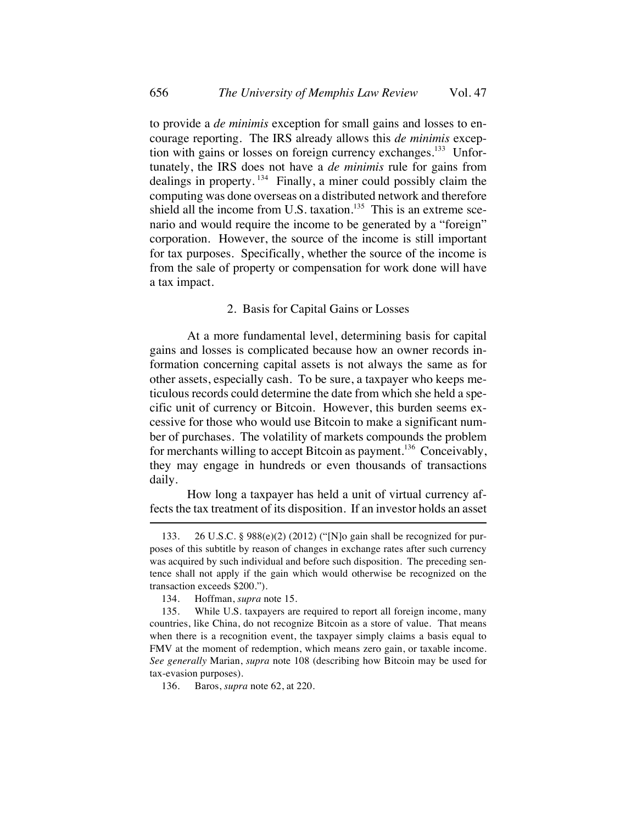to provide a *de minimis* exception for small gains and losses to encourage reporting. The IRS already allows this *de minimis* exception with gains or losses on foreign currency exchanges.<sup>133</sup> Unfortunately, the IRS does not have a *de minimis* rule for gains from dealings in property.  $134$  Finally, a miner could possibly claim the computing was done overseas on a distributed network and therefore shield all the income from U.S. taxation.<sup>135</sup> This is an extreme scenario and would require the income to be generated by a "foreign" corporation. However, the source of the income is still important for tax purposes. Specifically, whether the source of the income is from the sale of property or compensation for work done will have a tax impact.

## 2. Basis for Capital Gains or Losses

At a more fundamental level, determining basis for capital gains and losses is complicated because how an owner records information concerning capital assets is not always the same as for other assets, especially cash. To be sure, a taxpayer who keeps meticulous records could determine the date from which she held a specific unit of currency or Bitcoin. However, this burden seems excessive for those who would use Bitcoin to make a significant number of purchases. The volatility of markets compounds the problem for merchants willing to accept Bitcoin as payment.<sup>136</sup> Conceivably, they may engage in hundreds or even thousands of transactions daily.

How long a taxpayer has held a unit of virtual currency affects the tax treatment of its disposition. If an investor holds an asset

<sup>133.</sup> 26 U.S.C. § 988(e)(2) (2012) ("[N]o gain shall be recognized for purposes of this subtitle by reason of changes in exchange rates after such currency was acquired by such individual and before such disposition. The preceding sentence shall not apply if the gain which would otherwise be recognized on the transaction exceeds \$200.").

<sup>134.</sup> Hoffman, *supra* note 15.

<sup>135.</sup> While U.S. taxpayers are required to report all foreign income, many countries, like China, do not recognize Bitcoin as a store of value. That means when there is a recognition event, the taxpayer simply claims a basis equal to FMV at the moment of redemption, which means zero gain, or taxable income. *See generally* Marian, *supra* note 108 (describing how Bitcoin may be used for tax-evasion purposes).

<sup>136.</sup> Baros, *supra* note 62, at 220.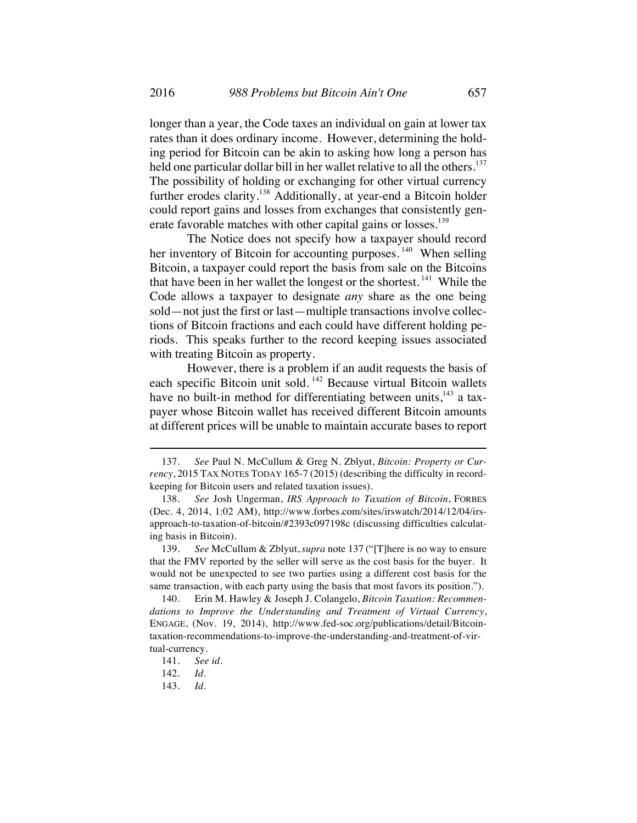longer than a year, the Code taxes an individual on gain at lower tax rates than it does ordinary income. However, determining the holding period for Bitcoin can be akin to asking how long a person has held one particular dollar bill in her wallet relative to all the others.<sup>137</sup> The possibility of holding or exchanging for other virtual currency further erodes clarity.<sup>138</sup> Additionally, at year-end a Bitcoin holder could report gains and losses from exchanges that consistently generate favorable matches with other capital gains or losses.<sup>139</sup>

The Notice does not specify how a taxpayer should record her inventory of Bitcoin for accounting purposes.<sup>140</sup> When selling Bitcoin, a taxpayer could report the basis from sale on the Bitcoins that have been in her wallet the longest or the shortest.<sup>141</sup> While the Code allows a taxpayer to designate *any* share as the one being sold—not just the first or last—multiple transactions involve collections of Bitcoin fractions and each could have different holding periods. This speaks further to the record keeping issues associated with treating Bitcoin as property.

However, there is a problem if an audit requests the basis of each specific Bitcoin unit sold. <sup>142</sup> Because virtual Bitcoin wallets have no built-in method for differentiating between units, $143$  a taxpayer whose Bitcoin wallet has received different Bitcoin amounts at different prices will be unable to maintain accurate bases to report

<sup>137.</sup> *See* Paul N. McCullum & Greg N. Zblyut, *Bitcoin: Property or Currency*, 2015 TAX NOTES TODAY 165-7 (2015) (describing the difficulty in recordkeeping for Bitcoin users and related taxation issues).

<sup>138.</sup> *See* Josh Ungerman, *IRS Approach to Taxation of Bitcoin*, FORBES (Dec. 4, 2014, 1:02 AM), http://www.forbes.com/sites/irswatch/2014/12/04/irsapproach-to-taxation-of-bitcoin/#2393c097198c (discussing difficulties calculating basis in Bitcoin).

<sup>139.</sup> *See* McCullum & Zblyut,*supra* note 137 ("[T]here is no way to ensure that the FMV reported by the seller will serve as the cost basis for the buyer. It would not be unexpected to see two parties using a different cost basis for the same transaction, with each party using the basis that most favors its position.").

<sup>140.</sup> Erin M. Hawley & Joseph J. Colangelo, *Bitcoin Taxation: Recommendations to Improve the Understanding and Treatment of Virtual Currency*, ENGAGE, (Nov. 19, 2014), http://www.fed-soc.org/publications/detail/Bitcointaxation-recommendations-to-improve-the-understanding-and-treatment-of-virtual-currency.

<sup>141.</sup> *See id.*

<sup>142.</sup> *Id.*

<sup>143.</sup> *Id.*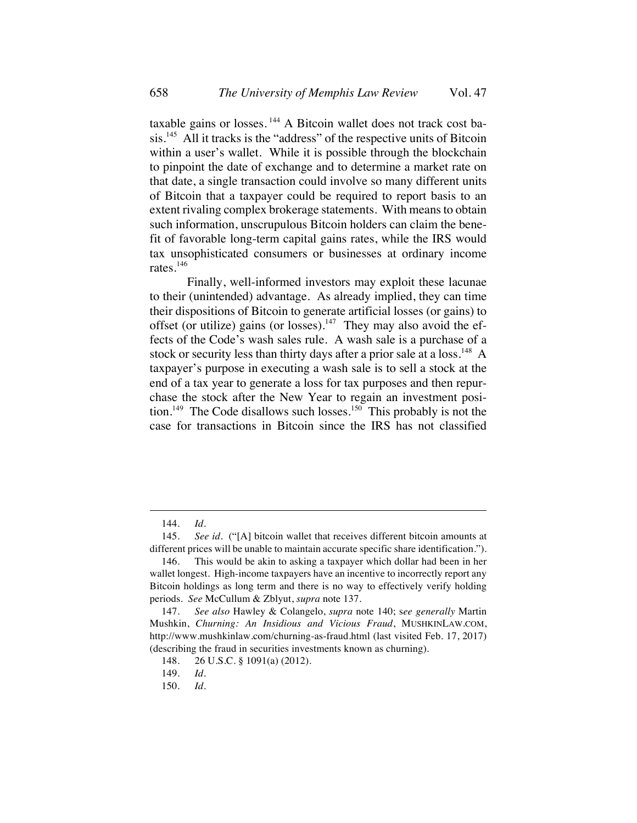taxable gains or losses.<sup>144</sup> A Bitcoin wallet does not track cost basis.<sup>145</sup> All it tracks is the "address" of the respective units of Bitcoin within a user's wallet. While it is possible through the blockchain to pinpoint the date of exchange and to determine a market rate on that date, a single transaction could involve so many different units of Bitcoin that a taxpayer could be required to report basis to an extent rivaling complex brokerage statements. With means to obtain such information, unscrupulous Bitcoin holders can claim the benefit of favorable long-term capital gains rates, while the IRS would tax unsophisticated consumers or businesses at ordinary income rates.<sup>146</sup>

Finally, well-informed investors may exploit these lacunae to their (unintended) advantage. As already implied, they can time their dispositions of Bitcoin to generate artificial losses (or gains) to offset (or utilize) gains (or losses).<sup>147</sup> They may also avoid the effects of the Code's wash sales rule. A wash sale is a purchase of a stock or security less than thirty days after a prior sale at a loss.<sup>148</sup> A taxpayer's purpose in executing a wash sale is to sell a stock at the end of a tax year to generate a loss for tax purposes and then repurchase the stock after the New Year to regain an investment position.<sup>149</sup> The Code disallows such losses.<sup>150</sup> This probably is not the case for transactions in Bitcoin since the IRS has not classified

<sup>144.</sup> *Id.*

<sup>145.</sup> *See id.* ("[A] bitcoin wallet that receives different bitcoin amounts at different prices will be unable to maintain accurate specific share identification.").

<sup>146.</sup> This would be akin to asking a taxpayer which dollar had been in her wallet longest. High-income taxpayers have an incentive to incorrectly report any Bitcoin holdings as long term and there is no way to effectively verify holding periods. *See* McCullum & Zblyut, *supra* note 137.

<sup>147.</sup> *See also* Hawley & Colangelo, *supra* note 140; s*ee generally* Martin Mushkin, *Churning: An Insidious and Vicious Fraud*, MUSHKINLAW.COM, http://www.mushkinlaw.com/churning-as-fraud.html (last visited Feb. 17, 2017) (describing the fraud in securities investments known as churning).

<sup>148.</sup> 26 U.S.C. § 1091(a) (2012).

<sup>149.</sup> *Id.*

<sup>150.</sup> *Id.*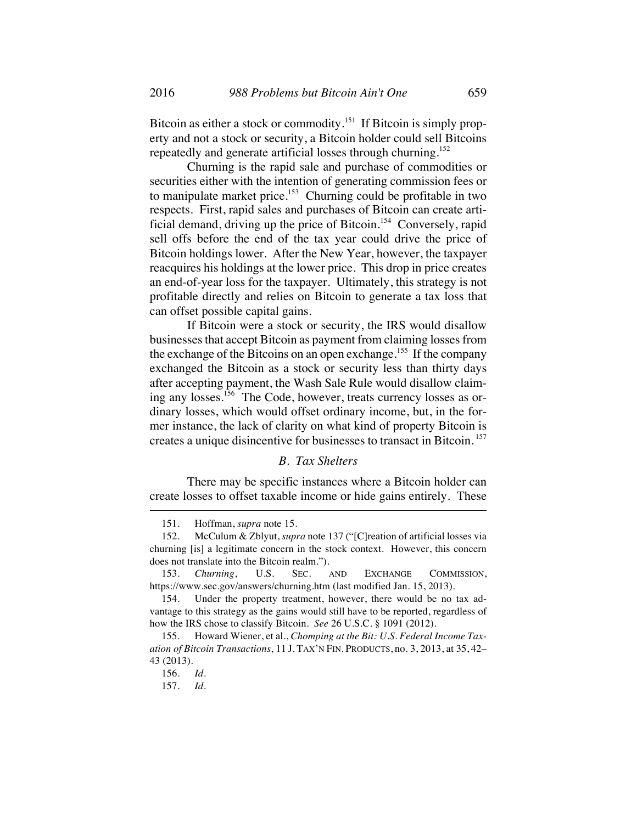Bitcoin as either a stock or commodity.<sup>151</sup> If Bitcoin is simply property and not a stock or security, a Bitcoin holder could sell Bitcoins repeatedly and generate artificial losses through churning.<sup>152</sup>

Churning is the rapid sale and purchase of commodities or securities either with the intention of generating commission fees or to manipulate market price.<sup>153</sup> Churning could be profitable in two respects. First, rapid sales and purchases of Bitcoin can create artificial demand, driving up the price of Bitcoin.<sup>154</sup> Conversely, rapid sell offs before the end of the tax year could drive the price of Bitcoin holdings lower. After the New Year, however, the taxpayer reacquires his holdings at the lower price. This drop in price creates an end-of-year loss for the taxpayer. Ultimately, this strategy is not profitable directly and relies on Bitcoin to generate a tax loss that can offset possible capital gains.

If Bitcoin were a stock or security, the IRS would disallow businesses that accept Bitcoin as payment from claiming losses from the exchange of the Bitcoins on an open exchange.<sup>155</sup> If the company exchanged the Bitcoin as a stock or security less than thirty days after accepting payment, the Wash Sale Rule would disallow claiming any losses.<sup>156</sup> The Code, however, treats currency losses as ordinary losses, which would offset ordinary income, but, in the former instance, the lack of clarity on what kind of property Bitcoin is creates a unique disincentive for businesses to transact in Bitcoin. <sup>157</sup>

#### *B. Tax Shelters*

There may be specific instances where a Bitcoin holder can create losses to offset taxable income or hide gains entirely. These

<sup>151.</sup> Hoffman, *supra* note 15.

<sup>152.</sup> McCulum & Zblyut, *supra* note 137 ("[C]reation of artificial losses via churning [is] a legitimate concern in the stock context. However, this concern does not translate into the Bitcoin realm.").

<sup>153.</sup> *Churning*, U.S. SEC. AND EXCHANGE COMMISSION, https://www.sec.gov/answers/churning.htm (last modified Jan. 15, 2013).

<sup>154.</sup> Under the property treatment, however, there would be no tax advantage to this strategy as the gains would still have to be reported, regardless of how the IRS chose to classify Bitcoin. *See* 26 U.S.C. § 1091 (2012).

<sup>155.</sup> Howard Wiener, et al., *Chomping at the Bit: U.S. Federal Income Taxation of Bitcoin Transactions*, 11 J. TAX'N FIN. PRODUCTS, no. 3, 2013, at 35, 42– 43 (2013).

<sup>156.</sup> *Id.*

<sup>157.</sup> *Id.*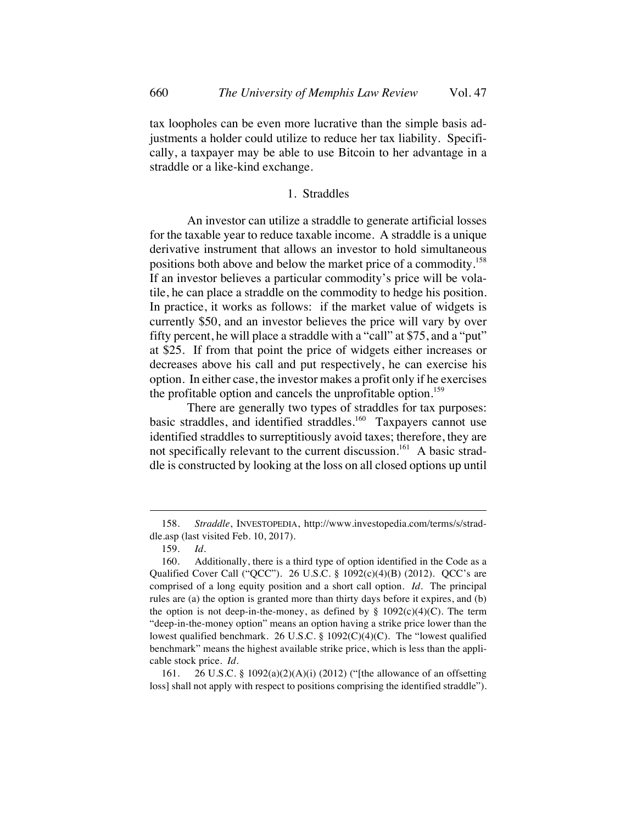tax loopholes can be even more lucrative than the simple basis adjustments a holder could utilize to reduce her tax liability. Specifically, a taxpayer may be able to use Bitcoin to her advantage in a straddle or a like-kind exchange.

# 1. Straddles

An investor can utilize a straddle to generate artificial losses for the taxable year to reduce taxable income. A straddle is a unique derivative instrument that allows an investor to hold simultaneous positions both above and below the market price of a commodity.158 If an investor believes a particular commodity's price will be volatile, he can place a straddle on the commodity to hedge his position. In practice, it works as follows: if the market value of widgets is currently \$50, and an investor believes the price will vary by over fifty percent, he will place a straddle with a "call" at \$75, and a "put" at \$25. If from that point the price of widgets either increases or decreases above his call and put respectively, he can exercise his option. In either case, the investor makes a profit only if he exercises the profitable option and cancels the unprofitable option.<sup>159</sup>

There are generally two types of straddles for tax purposes: basic straddles, and identified straddles.<sup>160</sup> Taxpayers cannot use identified straddles to surreptitiously avoid taxes; therefore, they are not specifically relevant to the current discussion.<sup>161</sup> A basic straddle is constructed by looking at the loss on all closed options up until

161. 26 U.S.C. § 1092(a)(2)(A)(i) (2012) ("[the allowance of an offsetting loss] shall not apply with respect to positions comprising the identified straddle").

<sup>158.</sup> *Straddle*, INVESTOPEDIA, http://www.investopedia.com/terms/s/straddle.asp (last visited Feb. 10, 2017).

<sup>159.</sup> *Id.*

<sup>160.</sup> Additionally, there is a third type of option identified in the Code as a Qualified Cover Call ("OCC"). 26 U.S.C. §  $1092(c)(4)(B)$  (2012). OCC's are comprised of a long equity position and a short call option. *Id.* The principal rules are (a) the option is granted more than thirty days before it expires, and (b) the option is not deep-in-the-money, as defined by  $\S$  1092(c)(4)(C). The term "deep-in-the-money option" means an option having a strike price lower than the lowest qualified benchmark. 26 U.S.C. § 1092(C)(4)(C). The "lowest qualified benchmark" means the highest available strike price, which is less than the applicable stock price. *Id.*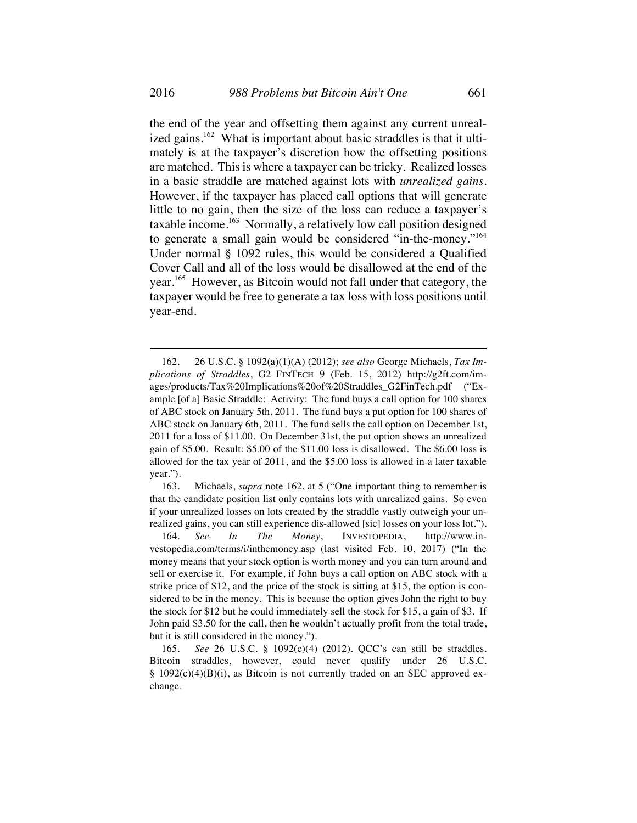the end of the year and offsetting them against any current unrealized gains.<sup>162</sup> What is important about basic straddles is that it ultimately is at the taxpayer's discretion how the offsetting positions are matched. This is where a taxpayer can be tricky. Realized losses in a basic straddle are matched against lots with *unrealized gains*. However, if the taxpayer has placed call options that will generate little to no gain, then the size of the loss can reduce a taxpayer's taxable income.163 Normally, a relatively low call position designed to generate a small gain would be considered "in-the-money."164 Under normal § 1092 rules, this would be considered a Qualified Cover Call and all of the loss would be disallowed at the end of the year.165 However, as Bitcoin would not fall under that category, the taxpayer would be free to generate a tax loss with loss positions until year-end.

<sup>162.</sup> 26 U.S.C. § 1092(a)(1)(A) (2012); *see also* George Michaels, *Tax Implications of Straddles*, G2 FINTECH 9 (Feb. 15, 2012) http://g2ft.com/images/products/Tax%20Implications%20of%20Straddles\_G2FinTech.pdf ("Example [of a] Basic Straddle: Activity: The fund buys a call option for 100 shares of ABC stock on January 5th, 2011. The fund buys a put option for 100 shares of ABC stock on January 6th, 2011. The fund sells the call option on December 1st, 2011 for a loss of \$11.00. On December 31st, the put option shows an unrealized gain of \$5.00. Result: \$5.00 of the \$11.00 loss is disallowed. The \$6.00 loss is allowed for the tax year of 2011, and the \$5.00 loss is allowed in a later taxable year.").

<sup>163.</sup> Michaels, *supra* note 162, at 5 ("One important thing to remember is that the candidate position list only contains lots with unrealized gains. So even if your unrealized losses on lots created by the straddle vastly outweigh your unrealized gains, you can still experience dis-allowed [sic] losses on your loss lot.").

<sup>164.</sup> *See In The Money*, INVESTOPEDIA, http://www.investopedia.com/terms/i/inthemoney.asp (last visited Feb. 10, 2017) ("In the money means that your stock option is worth money and you can turn around and sell or exercise it. For example, if John buys a call option on ABC stock with a strike price of \$12, and the price of the stock is sitting at \$15, the option is considered to be in the money. This is because the option gives John the right to buy the stock for \$12 but he could immediately sell the stock for \$15, a gain of \$3. If John paid \$3.50 for the call, then he wouldn't actually profit from the total trade, but it is still considered in the money.").

<sup>165.</sup> *See* 26 U.S.C. § 1092(c)(4) (2012). QCC's can still be straddles. Bitcoin straddles, however, could never qualify under 26 U.S.C. § 1092(c)(4)(B)(i), as Bitcoin is not currently traded on an SEC approved exchange.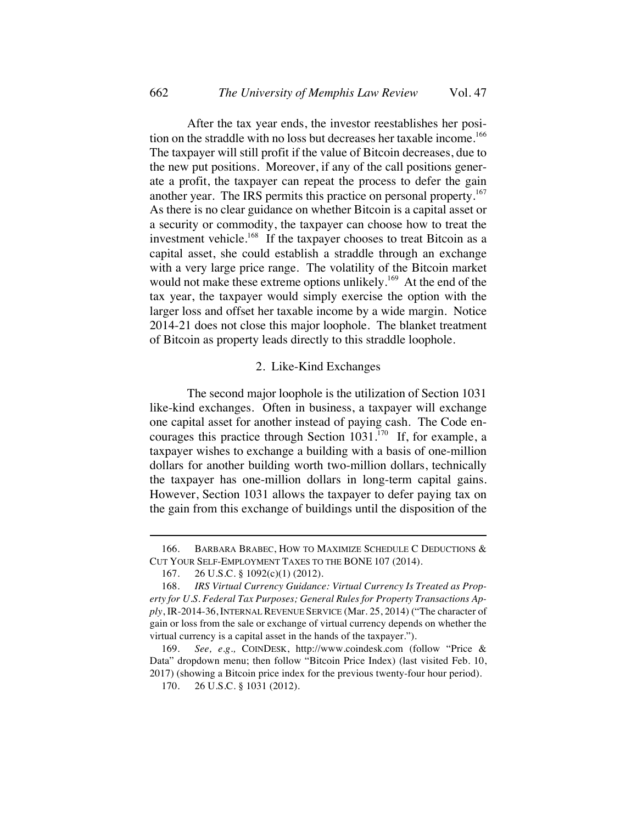After the tax year ends, the investor reestablishes her position on the straddle with no loss but decreases her taxable income.<sup>166</sup> The taxpayer will still profit if the value of Bitcoin decreases, due to the new put positions. Moreover, if any of the call positions generate a profit, the taxpayer can repeat the process to defer the gain another year. The IRS permits this practice on personal property.<sup>167</sup> As there is no clear guidance on whether Bitcoin is a capital asset or a security or commodity, the taxpayer can choose how to treat the investment vehicle.<sup>168</sup> If the taxpayer chooses to treat Bitcoin as a capital asset, she could establish a straddle through an exchange with a very large price range. The volatility of the Bitcoin market would not make these extreme options unlikely.<sup>169</sup> At the end of the tax year, the taxpayer would simply exercise the option with the larger loss and offset her taxable income by a wide margin. Notice 2014-21 does not close this major loophole. The blanket treatment of Bitcoin as property leads directly to this straddle loophole.

### 2. Like-Kind Exchanges

The second major loophole is the utilization of Section 1031 like-kind exchanges. Often in business, a taxpayer will exchange one capital asset for another instead of paying cash. The Code encourages this practice through Section  $1031$ .<sup>170</sup> If, for example, a taxpayer wishes to exchange a building with a basis of one-million dollars for another building worth two-million dollars, technically the taxpayer has one-million dollars in long-term capital gains. However, Section 1031 allows the taxpayer to defer paying tax on the gain from this exchange of buildings until the disposition of the

<sup>166.</sup> BARBARA BRABEC, HOW TO MAXIMIZE SCHEDULE C DEDUCTIONS & CUT YOUR SELF-EMPLOYMENT TAXES TO THE BONE 107 (2014).

<sup>167.</sup> 26 U.S.C. § 1092(c)(1) (2012).

<sup>168.</sup> *IRS Virtual Currency Guidance: Virtual Currency Is Treated as Property for U.S. Federal Tax Purposes; General Rules for Property Transactions Apply*, IR-2014-36, INTERNAL REVENUE SERVICE (Mar. 25, 2014) ("The character of gain or loss from the sale or exchange of virtual currency depends on whether the virtual currency is a capital asset in the hands of the taxpayer.").

<sup>169.</sup> *See, e.g.,* COINDESK, http://www.coindesk.com (follow "Price & Data" dropdown menu; then follow "Bitcoin Price Index) (last visited Feb. 10, 2017) (showing a Bitcoin price index for the previous twenty-four hour period).

<sup>170.</sup> 26 U.S.C. § 1031 (2012).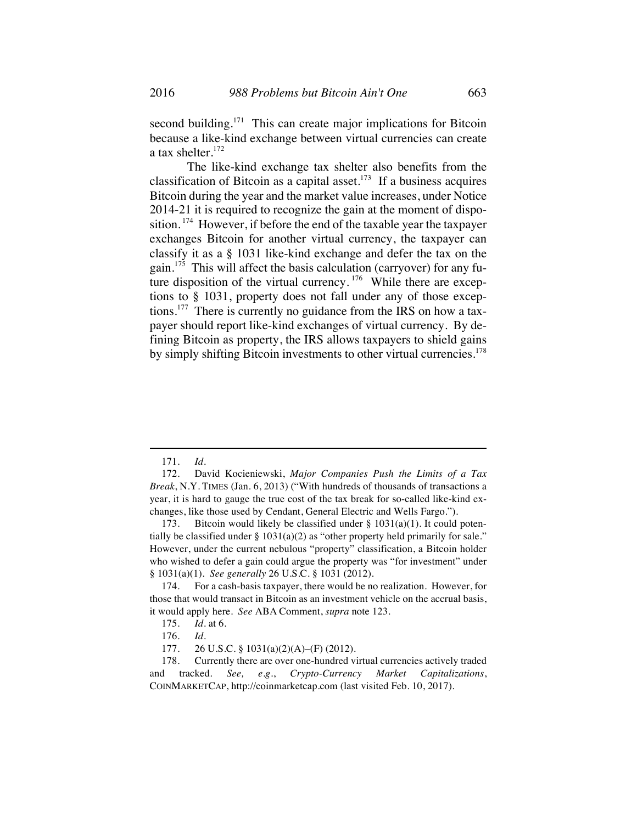second building.<sup>171</sup> This can create major implications for Bitcoin because a like-kind exchange between virtual currencies can create a tax shelter.<sup>172</sup>

The like-kind exchange tax shelter also benefits from the classification of Bitcoin as a capital asset. $173$  If a business acquires Bitcoin during the year and the market value increases, under Notice 2014-21 it is required to recognize the gain at the moment of disposition. 174 However, if before the end of the taxable year the taxpayer exchanges Bitcoin for another virtual currency, the taxpayer can classify it as a § 1031 like-kind exchange and defer the tax on the gain.175 This will affect the basis calculation (carryover) for any future disposition of the virtual currency.  $176$  While there are exceptions to § 1031, property does not fall under any of those exceptions.<sup>177</sup> There is currently no guidance from the IRS on how a taxpayer should report like-kind exchanges of virtual currency. By defining Bitcoin as property, the IRS allows taxpayers to shield gains by simply shifting Bitcoin investments to other virtual currencies.<sup>178</sup>

<sup>171.</sup> *Id.*

<sup>172.</sup> David Kocieniewski, *Major Companies Push the Limits of a Tax Break*, N.Y. TIMES (Jan. 6, 2013) ("With hundreds of thousands of transactions a year, it is hard to gauge the true cost of the tax break for so-called like-kind exchanges, like those used by Cendant, General Electric and Wells Fargo.").

<sup>173.</sup> Bitcoin would likely be classified under  $\S$  1031(a)(1). It could potentially be classified under  $\S 1031(a)(2)$  as "other property held primarily for sale." However, under the current nebulous "property" classification, a Bitcoin holder who wished to defer a gain could argue the property was "for investment" under § 1031(a)(1). *See generally* 26 U.S.C. § 1031 (2012).

<sup>174.</sup> For a cash-basis taxpayer, there would be no realization. However, for those that would transact in Bitcoin as an investment vehicle on the accrual basis, it would apply here. *See* ABA Comment, *supra* note 123.

<sup>175.</sup> *Id.* at 6.

<sup>176.</sup> *Id.*

<sup>177.</sup> 26 U.S.C. § 1031(a)(2)(A)–(F) (2012).

<sup>178.</sup> Currently there are over one-hundred virtual currencies actively traded and tracked. *See, e.g.*, *Crypto-Currency Market Capitalizations*, COINMARKETCAP, http://coinmarketcap.com (last visited Feb. 10, 2017).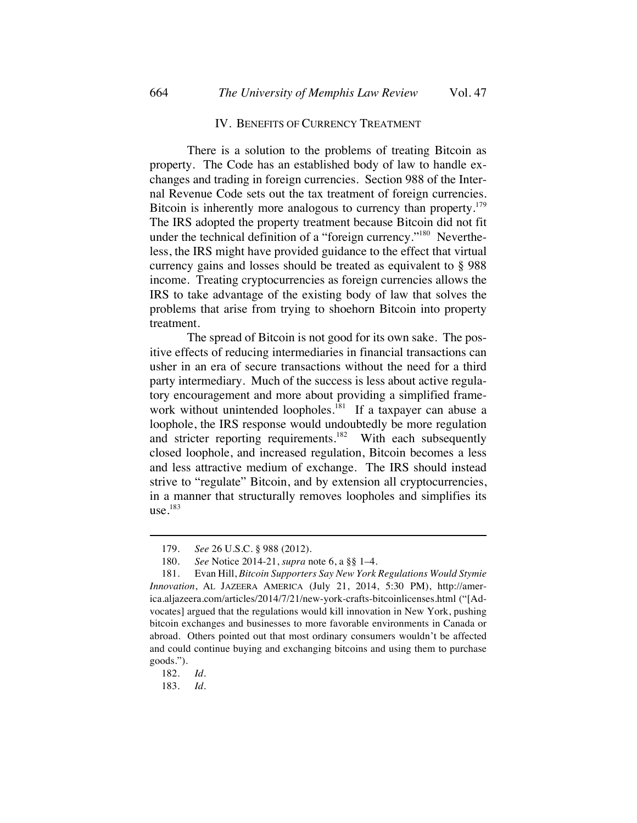#### IV. BENEFITS OF CURRENCY TREATMENT

There is a solution to the problems of treating Bitcoin as property. The Code has an established body of law to handle exchanges and trading in foreign currencies. Section 988 of the Internal Revenue Code sets out the tax treatment of foreign currencies. Bitcoin is inherently more analogous to currency than property.<sup>179</sup> The IRS adopted the property treatment because Bitcoin did not fit under the technical definition of a "foreign currency."<sup>180</sup> Nevertheless, the IRS might have provided guidance to the effect that virtual currency gains and losses should be treated as equivalent to § 988 income. Treating cryptocurrencies as foreign currencies allows the IRS to take advantage of the existing body of law that solves the problems that arise from trying to shoehorn Bitcoin into property treatment.

The spread of Bitcoin is not good for its own sake. The positive effects of reducing intermediaries in financial transactions can usher in an era of secure transactions without the need for a third party intermediary. Much of the success is less about active regulatory encouragement and more about providing a simplified framework without unintended loopholes.<sup>181</sup> If a taxpayer can abuse a loophole, the IRS response would undoubtedly be more regulation and stricter reporting requirements.<sup>182</sup> With each subsequently closed loophole, and increased regulation, Bitcoin becomes a less and less attractive medium of exchange. The IRS should instead strive to "regulate" Bitcoin, and by extension all cryptocurrencies, in a manner that structurally removes loopholes and simplifies its  $use.<sup>183</sup>$ 

<sup>179.</sup> *See* 26 U.S.C. § 988 (2012).

<sup>180.</sup> *See* Notice 2014-21, *supra* note 6, a §§ 1–4.

<sup>181.</sup> Evan Hill, *Bitcoin Supporters Say New York Regulations Would Stymie Innovation*, AL JAZEERA AMERICA (July 21, 2014, 5:30 PM), http://america.aljazeera.com/articles/2014/7/21/new-york-crafts-bitcoinlicenses.html ("[Advocates] argued that the regulations would kill innovation in New York, pushing bitcoin exchanges and businesses to more favorable environments in Canada or abroad. Others pointed out that most ordinary consumers wouldn't be affected and could continue buying and exchanging bitcoins and using them to purchase goods.").

<sup>182.</sup> *Id.*

<sup>183.</sup> *Id.*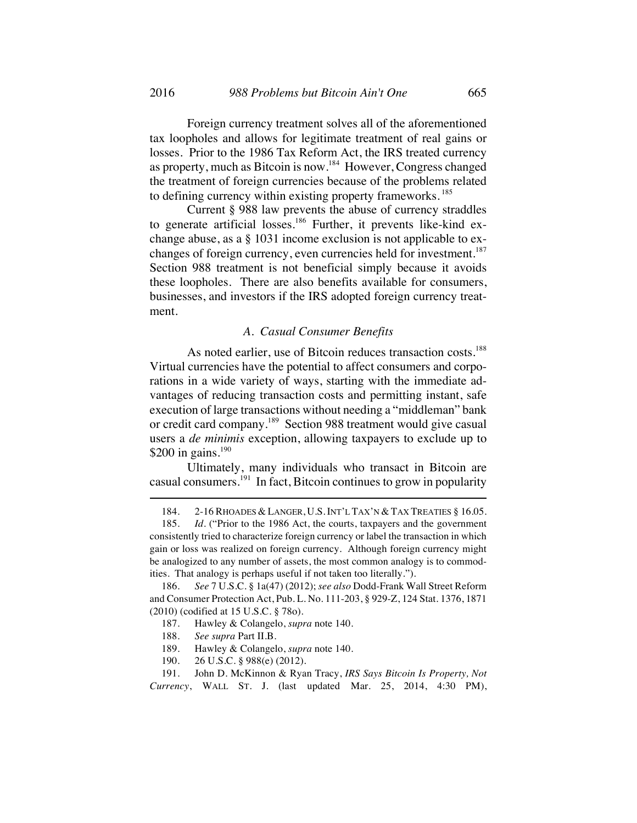Foreign currency treatment solves all of the aforementioned tax loopholes and allows for legitimate treatment of real gains or losses. Prior to the 1986 Tax Reform Act, the IRS treated currency as property, much as Bitcoin is now.184 However, Congress changed the treatment of foreign currencies because of the problems related to defining currency within existing property frameworks.<sup>185</sup>

Current § 988 law prevents the abuse of currency straddles to generate artificial losses.<sup>186</sup> Further, it prevents like-kind exchange abuse, as a § 1031 income exclusion is not applicable to exchanges of foreign currency, even currencies held for investment.<sup>187</sup> Section 988 treatment is not beneficial simply because it avoids these loopholes. There are also benefits available for consumers, businesses, and investors if the IRS adopted foreign currency treatment.

## *A. Casual Consumer Benefits*

As noted earlier, use of Bitcoin reduces transaction costs.<sup>188</sup> Virtual currencies have the potential to affect consumers and corporations in a wide variety of ways, starting with the immediate advantages of reducing transaction costs and permitting instant, safe execution of large transactions without needing a "middleman" bank or credit card company.<sup>189</sup> Section 988 treatment would give casual users a *de minimis* exception, allowing taxpayers to exclude up to \$200 in gains.<sup>190</sup>

Ultimately, many individuals who transact in Bitcoin are casual consumers. $^{191}$  In fact, Bitcoin continues to grow in popularity

<sup>184.</sup> 2-16 RHOADES & LANGER, U.S.INT'L TAX'N & TAX TREATIES § 16.05.

<sup>185.</sup> *Id.* ("Prior to the 1986 Act, the courts, taxpayers and the government consistently tried to characterize foreign currency or label the transaction in which gain or loss was realized on foreign currency. Although foreign currency might be analogized to any number of assets, the most common analogy is to commodities. That analogy is perhaps useful if not taken too literally.").

<sup>186.</sup> *See* 7 U.S.C. § 1a(47) (2012); *see also* Dodd-Frank Wall Street Reform and Consumer Protection Act, Pub. L. No. 111-203, § 929-Z, 124 Stat. 1376, 1871 (2010) (codified at 15 U.S.C. § 78o).

<sup>187.</sup> Hawley & Colangelo, *supra* note 140.

<sup>188.</sup> *See supra* Part II.B.

<sup>189.</sup> Hawley & Colangelo, *supra* note 140.

<sup>190.</sup> 26 U.S.C. § 988(e) (2012).

<sup>191.</sup> John D. McKinnon & Ryan Tracy, *IRS Says Bitcoin Is Property, Not Currency*, WALL ST. J. (last updated Mar. 25, 2014, 4:30 PM),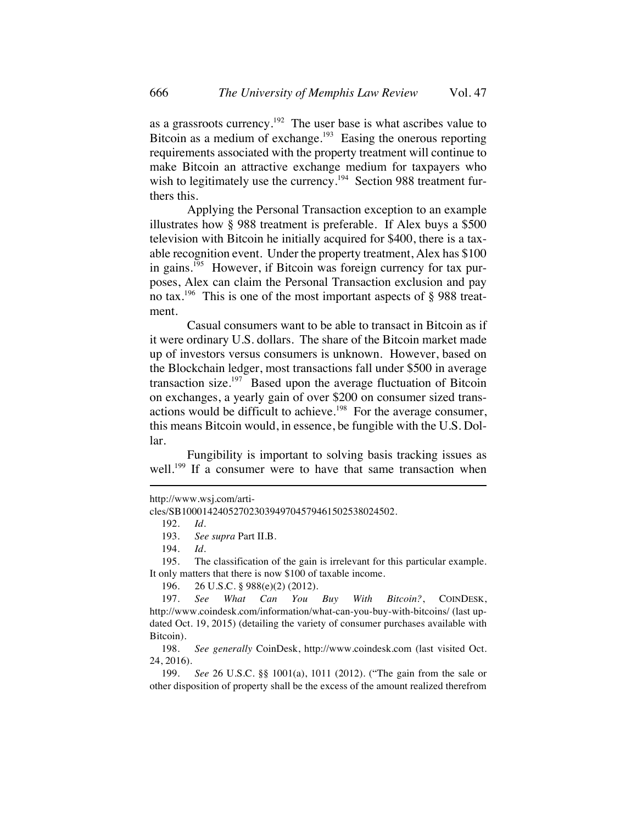as a grassroots currency.<sup>192</sup> The user base is what ascribes value to Bitcoin as a medium of exchange.<sup>193</sup> Easing the onerous reporting requirements associated with the property treatment will continue to make Bitcoin an attractive exchange medium for taxpayers who wish to legitimately use the currency.<sup>194</sup> Section 988 treatment furthers this.

Applying the Personal Transaction exception to an example illustrates how § 988 treatment is preferable. If Alex buys a \$500 television with Bitcoin he initially acquired for \$400, there is a taxable recognition event. Under the property treatment, Alex has \$100 in gains.<sup>195</sup> However, if Bitcoin was foreign currency for tax purposes, Alex can claim the Personal Transaction exclusion and pay no tax.<sup>196</sup> This is one of the most important aspects of  $\S$  988 treatment.

Casual consumers want to be able to transact in Bitcoin as if it were ordinary U.S. dollars. The share of the Bitcoin market made up of investors versus consumers is unknown. However, based on the Blockchain ledger, most transactions fall under \$500 in average transaction size.<sup>197</sup> Based upon the average fluctuation of Bitcoin on exchanges, a yearly gain of over \$200 on consumer sized transactions would be difficult to achieve.<sup>198</sup> For the average consumer, this means Bitcoin would, in essence, be fungible with the U.S. Dollar.

Fungibility is important to solving basis tracking issues as well.<sup>199</sup> If a consumer were to have that same transaction when

http://www.wsj.com/arti-

cles/SB10001424052702303949704579461502538024502.

<sup>192.</sup> *Id.*

<sup>193.</sup> *See supra* Part II.B.

<sup>194.</sup> *Id.*

<sup>195.</sup> The classification of the gain is irrelevant for this particular example. It only matters that there is now \$100 of taxable income.

<sup>196.</sup> 26 U.S.C. § 988(e)(2) (2012).

<sup>197.</sup> *See What Can You Buy With Bitcoin?*, COINDESK, http://www.coindesk.com/information/what-can-you-buy-with-bitcoins/ (last updated Oct. 19, 2015) (detailing the variety of consumer purchases available with Bitcoin).

<sup>198.</sup> *See generally* CoinDesk, http://www.coindesk.com (last visited Oct. 24, 2016).

<sup>199.</sup> *See* 26 U.S.C. §§ 1001(a), 1011 (2012). ("The gain from the sale or other disposition of property shall be the excess of the amount realized therefrom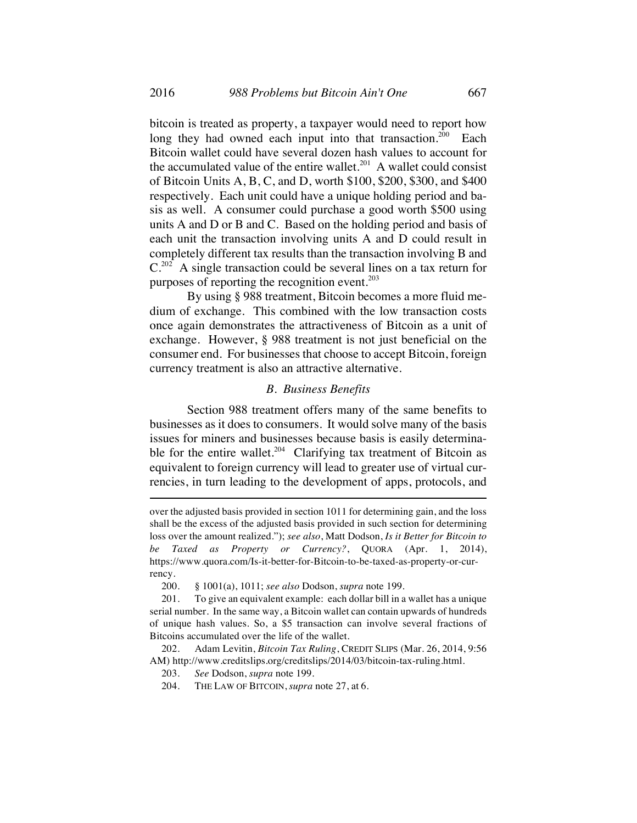bitcoin is treated as property, a taxpayer would need to report how long they had owned each input into that transaction.<sup>200</sup> Each Bitcoin wallet could have several dozen hash values to account for the accumulated value of the entire wallet.<sup>201</sup> A wallet could consist of Bitcoin Units A, B, C, and D, worth \$100, \$200, \$300, and \$400 respectively. Each unit could have a unique holding period and basis as well. A consumer could purchase a good worth \$500 using units A and D or B and C. Based on the holding period and basis of each unit the transaction involving units A and D could result in completely different tax results than the transaction involving B and  $C^{202}$  A single transaction could be several lines on a tax return for purposes of reporting the recognition event. $2^{03}$ 

By using § 988 treatment, Bitcoin becomes a more fluid medium of exchange. This combined with the low transaction costs once again demonstrates the attractiveness of Bitcoin as a unit of exchange. However, § 988 treatment is not just beneficial on the consumer end. For businesses that choose to accept Bitcoin, foreign currency treatment is also an attractive alternative.

### *B. Business Benefits*

Section 988 treatment offers many of the same benefits to businesses as it does to consumers. It would solve many of the basis issues for miners and businesses because basis is easily determinable for the entire wallet.<sup>204</sup> Clarifying tax treatment of Bitcoin as equivalent to foreign currency will lead to greater use of virtual currencies, in turn leading to the development of apps, protocols, and

over the adjusted basis provided in section 1011 for determining gain, and the loss shall be the excess of the adjusted basis provided in such section for determining loss over the amount realized."); *see also*, Matt Dodson, *Is it Better for Bitcoin to be Taxed as Property or Currency?*, QUORA (Apr. 1, 2014), https://www.quora.com/Is-it-better-for-Bitcoin-to-be-taxed-as-property-or-currency.

200. § 1001(a), 1011; *see also* Dodson, *supra* note 199.

202. Adam Levitin, *Bitcoin Tax Ruling*, CREDIT SLIPS (Mar. 26, 2014, 9:56 AM) http://www.creditslips.org/creditslips/2014/03/bitcoin-tax-ruling.html.

203. *See* Dodson, *supra* note 199.

204. THE LAW OF BITCOIN, *supra* note 27, at 6.

<sup>201.</sup> To give an equivalent example: each dollar bill in a wallet has a unique serial number. In the same way, a Bitcoin wallet can contain upwards of hundreds of unique hash values. So, a \$5 transaction can involve several fractions of Bitcoins accumulated over the life of the wallet.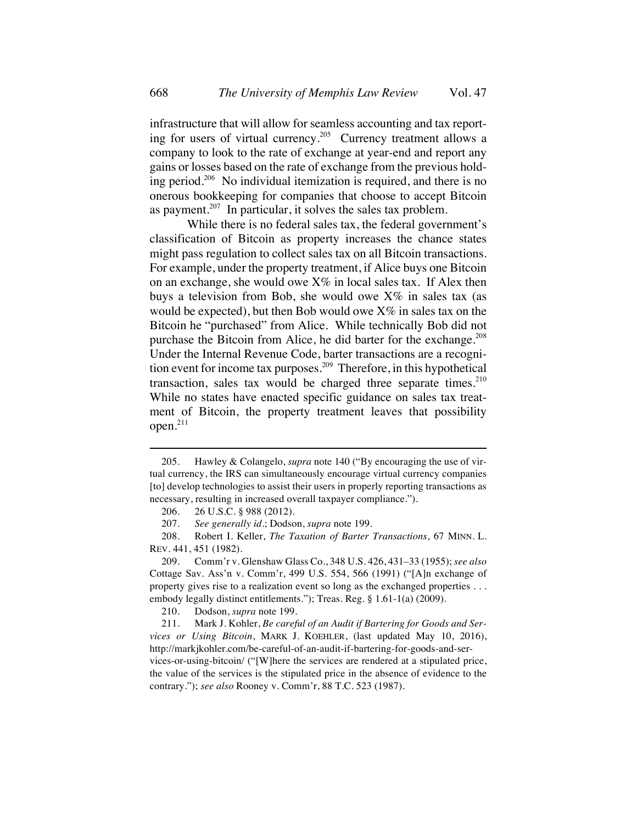infrastructure that will allow for seamless accounting and tax reporting for users of virtual currency.<sup>205</sup> Currency treatment allows a company to look to the rate of exchange at year-end and report any gains or losses based on the rate of exchange from the previous holding period.206 No individual itemization is required, and there is no onerous bookkeeping for companies that choose to accept Bitcoin as payment.<sup>207</sup> In particular, it solves the sales tax problem.

While there is no federal sales tax, the federal government's classification of Bitcoin as property increases the chance states might pass regulation to collect sales tax on all Bitcoin transactions. For example, under the property treatment, if Alice buys one Bitcoin on an exchange, she would owe  $X\%$  in local sales tax. If Alex then buys a television from Bob, she would owe  $X\%$  in sales tax (as would be expected), but then Bob would owe  $X\%$  in sales tax on the Bitcoin he "purchased" from Alice. While technically Bob did not purchase the Bitcoin from Alice, he did barter for the exchange.<sup>208</sup> Under the Internal Revenue Code, barter transactions are a recognition event for income tax purposes.<sup>209</sup> Therefore, in this hypothetical transaction, sales tax would be charged three separate times. $210$ While no states have enacted specific guidance on sales tax treatment of Bitcoin, the property treatment leaves that possibility open.<sup>211</sup>

208. Robert I. Keller, *The Taxation of Barter Transactions*, 67 MINN. L. REV. 441, 451 (1982).

209. Comm'r v. Glenshaw Glass Co., 348 U.S. 426, 431–33 (1955); *see also* Cottage Sav. Ass'n v. Comm'r, 499 U.S. 554, 566 (1991) ("[A]n exchange of property gives rise to a realization event so long as the exchanged properties . . . embody legally distinct entitlements."); Treas. Reg. § 1.61-1(a) (2009).

210. Dodson, *supra* note 199.

<sup>205.</sup> Hawley & Colangelo, *supra* note 140 ("By encouraging the use of virtual currency, the IRS can simultaneously encourage virtual currency companies [to] develop technologies to assist their users in properly reporting transactions as necessary, resulting in increased overall taxpayer compliance.").

<sup>206.</sup> 26 U.S.C. § 988 (2012).

<sup>207.</sup> *See generally id.*; Dodson, *supra* note 199.

<sup>211.</sup> Mark J. Kohler, *Be careful of an Audit if Bartering for Goods and Services or Using Bitcoin*, MARK J. KOEHLER, (last updated May 10, 2016), http://markjkohler.com/be-careful-of-an-audit-if-bartering-for-goods-and-services-or-using-bitcoin/ ("[W]here the services are rendered at a stipulated price, the value of the services is the stipulated price in the absence of evidence to the contrary."); *see also* Rooney v. Comm'r, 88 T.C. 523 (1987).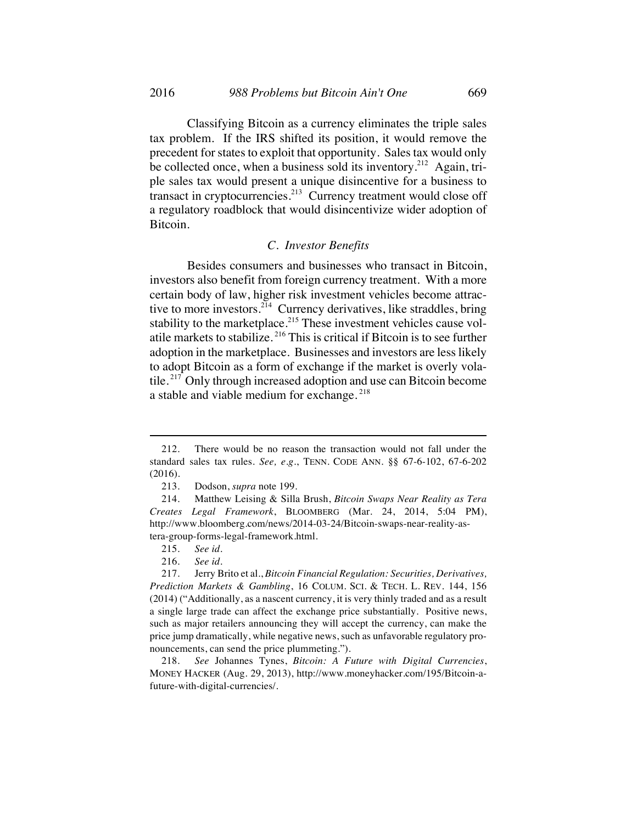Classifying Bitcoin as a currency eliminates the triple sales tax problem. If the IRS shifted its position, it would remove the precedent for states to exploit that opportunity. Sales tax would only be collected once, when a business sold its inventory.<sup>212</sup> Again, triple sales tax would present a unique disincentive for a business to transact in cryptocurrencies.213 Currency treatment would close off a regulatory roadblock that would disincentivize wider adoption of Bitcoin.

## *C. Investor Benefits*

Besides consumers and businesses who transact in Bitcoin, investors also benefit from foreign currency treatment. With a more certain body of law, higher risk investment vehicles become attractive to more investors.<sup>214</sup> Currency derivatives, like straddles, bring stability to the marketplace.<sup>215</sup> These investment vehicles cause volatile markets to stabilize. <sup>216</sup> This is critical if Bitcoin is to see further adoption in the marketplace. Businesses and investors are less likely to adopt Bitcoin as a form of exchange if the market is overly volatile. <sup>217</sup> Only through increased adoption and use can Bitcoin become a stable and viable medium for exchange.<sup>218</sup>

<sup>212.</sup> There would be no reason the transaction would not fall under the standard sales tax rules. *See, e.g.*, TENN. CODE ANN. §§ 67-6-102, 67-6-202 (2016).

<sup>213.</sup> Dodson, *supra* note 199.

<sup>214.</sup> Matthew Leising & Silla Brush, *Bitcoin Swaps Near Reality as Tera Creates Legal Framework*, BLOOMBERG (Mar. 24, 2014, 5:04 PM), http://www.bloomberg.com/news/2014-03-24/Bitcoin-swaps-near-reality-astera-group-forms-legal-framework.html.

<sup>215.</sup> *See id.*

<sup>216.</sup> *See id.*

<sup>217.</sup> Jerry Brito et al., *Bitcoin Financial Regulation: Securities, Derivatives, Prediction Markets & Gambling*, 16 COLUM. SCI. & TECH. L. REV. 144, 156 (2014) ("Additionally, as a nascent currency, it is very thinly traded and as a result a single large trade can affect the exchange price substantially. Positive news, such as major retailers announcing they will accept the currency, can make the price jump dramatically, while negative news, such as unfavorable regulatory pronouncements, can send the price plummeting.").

<sup>218.</sup> *See* Johannes Tynes, *Bitcoin: A Future with Digital Currencies*, MONEY HACKER (Aug. 29, 2013), http://www.moneyhacker.com/195/Bitcoin-afuture-with-digital-currencies/.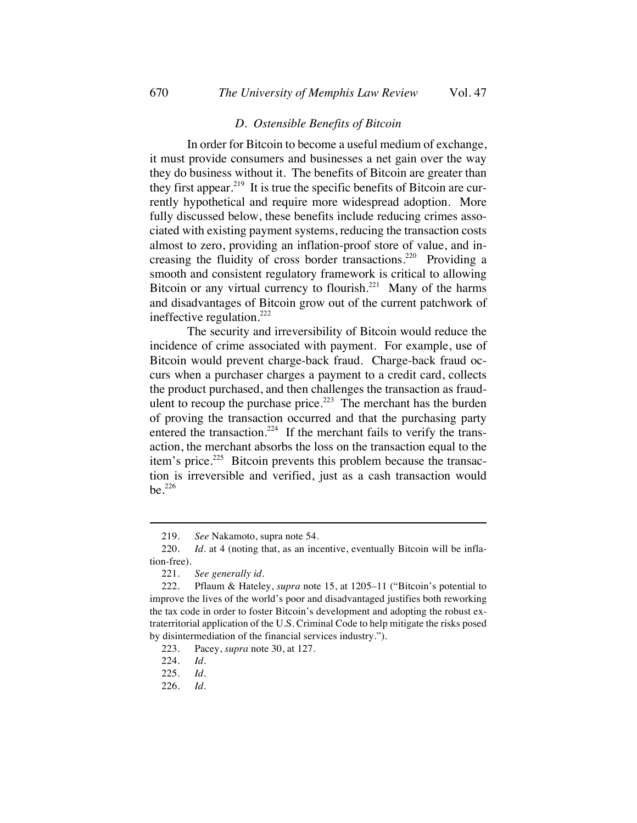#### *D. Ostensible Benefits of Bitcoin*

In order for Bitcoin to become a useful medium of exchange, it must provide consumers and businesses a net gain over the way they do business without it. The benefits of Bitcoin are greater than they first appear.<sup>219</sup> It is true the specific benefits of Bitcoin are currently hypothetical and require more widespread adoption. More fully discussed below, these benefits include reducing crimes associated with existing payment systems, reducing the transaction costs almost to zero, providing an inflation-proof store of value, and increasing the fluidity of cross border transactions.<sup>220</sup> Providing a smooth and consistent regulatory framework is critical to allowing Bitcoin or any virtual currency to flourish.<sup>221</sup> Many of the harms and disadvantages of Bitcoin grow out of the current patchwork of ineffective regulation. $222$ 

The security and irreversibility of Bitcoin would reduce the incidence of crime associated with payment. For example, use of Bitcoin would prevent charge-back fraud. Charge-back fraud occurs when a purchaser charges a payment to a credit card, collects the product purchased, and then challenges the transaction as fraudulent to recoup the purchase price.<sup>223</sup> The merchant has the burden of proving the transaction occurred and that the purchasing party entered the transaction.<sup>224</sup> If the merchant fails to verify the transaction, the merchant absorbs the loss on the transaction equal to the item's price.<sup>225</sup> Bitcoin prevents this problem because the transaction is irreversible and verified, just as a cash transaction would be.<sup>226</sup>

226. *Id.*

<sup>219.</sup> *See* Nakamoto, supra note 54.

<sup>220.</sup> *Id.* at 4 (noting that, as an incentive, eventually Bitcoin will be inflation-free).

<sup>221.</sup> *See generally id.*

<sup>222.</sup> Pflaum & Hateley, *supra* note 15, at 1205–11 ("Bitcoin's potential to improve the lives of the world's poor and disadvantaged justifies both reworking the tax code in order to foster Bitcoin's development and adopting the robust extraterritorial application of the U.S. Criminal Code to help mitigate the risks posed by disintermediation of the financial services industry.").

<sup>223.</sup> Pacey, *supra* note 30, at 127.

<sup>224.</sup> *Id.*

<sup>225.</sup> *Id.*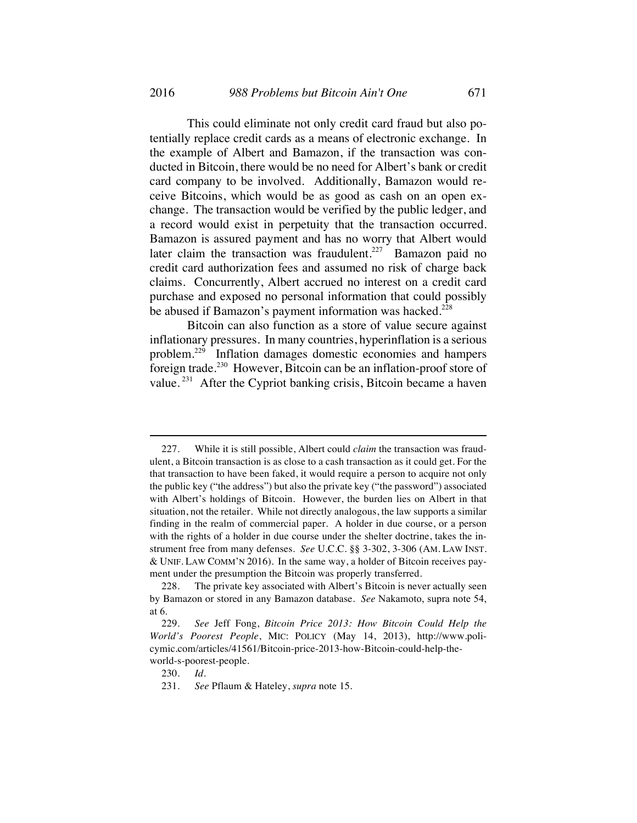This could eliminate not only credit card fraud but also potentially replace credit cards as a means of electronic exchange. In the example of Albert and Bamazon, if the transaction was conducted in Bitcoin, there would be no need for Albert's bank or credit card company to be involved. Additionally, Bamazon would receive Bitcoins, which would be as good as cash on an open exchange. The transaction would be verified by the public ledger, and a record would exist in perpetuity that the transaction occurred. Bamazon is assured payment and has no worry that Albert would later claim the transaction was fraudulent.<sup>227</sup> Bamazon paid no credit card authorization fees and assumed no risk of charge back claims. Concurrently, Albert accrued no interest on a credit card purchase and exposed no personal information that could possibly be abused if Bamazon's payment information was hacked.<sup>228</sup>

Bitcoin can also function as a store of value secure against inflationary pressures. In many countries, hyperinflation is a serious problem.229 Inflation damages domestic economies and hampers foreign trade.<sup>230</sup> However, Bitcoin can be an inflation-proof store of value. <sup>231</sup> After the Cypriot banking crisis, Bitcoin became a haven

<sup>227.</sup> While it is still possible, Albert could *claim* the transaction was fraudulent, a Bitcoin transaction is as close to a cash transaction as it could get. For the that transaction to have been faked, it would require a person to acquire not only the public key ("the address") but also the private key ("the password") associated with Albert's holdings of Bitcoin. However, the burden lies on Albert in that situation, not the retailer. While not directly analogous, the law supports a similar finding in the realm of commercial paper. A holder in due course, or a person with the rights of a holder in due course under the shelter doctrine, takes the instrument free from many defenses. *See* U.C.C. §§ 3-302, 3-306 (AM. LAW INST. & UNIF. LAW COMM'N 2016). In the same way, a holder of Bitcoin receives payment under the presumption the Bitcoin was properly transferred.

<sup>228.</sup> The private key associated with Albert's Bitcoin is never actually seen by Bamazon or stored in any Bamazon database. *See* Nakamoto, supra note 54, at 6.

<sup>229.</sup> *See* Jeff Fong, *Bitcoin Price 2013: How Bitcoin Could Help the World's Poorest People*, MIC: POLICY (May 14, 2013), http://www.policymic.com/articles/41561/Bitcoin-price-2013-how-Bitcoin-could-help-theworld-s-poorest-people.

<sup>230.</sup> *Id.*

<sup>231.</sup> *See* Pflaum & Hateley, *supra* note 15.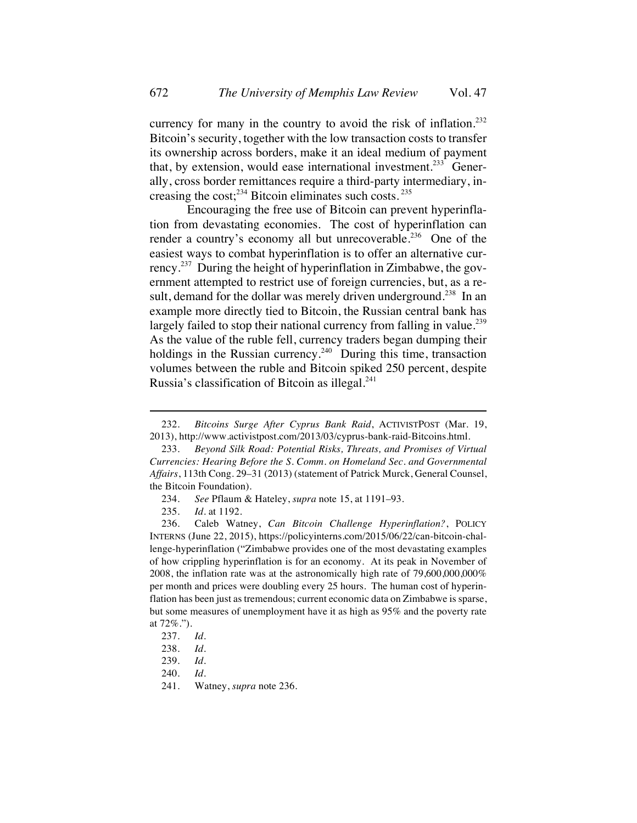currency for many in the country to avoid the risk of inflation.<sup>232</sup> Bitcoin's security, together with the low transaction costs to transfer its ownership across borders, make it an ideal medium of payment that, by extension, would ease international investment.<sup>233</sup> Generally, cross border remittances require a third-party intermediary, increasing the cost; $^{234}$  Bitcoin eliminates such costs.  $^{235}$ 

Encouraging the free use of Bitcoin can prevent hyperinflation from devastating economies. The cost of hyperinflation can render a country's economy all but unrecoverable.<sup>236</sup> One of the easiest ways to combat hyperinflation is to offer an alternative currency.<sup>237</sup> During the height of hyperinflation in Zimbabwe, the government attempted to restrict use of foreign currencies, but, as a result, demand for the dollar was merely driven underground.<sup>238</sup> In an example more directly tied to Bitcoin, the Russian central bank has largely failed to stop their national currency from falling in value.<sup>239</sup> As the value of the ruble fell, currency traders began dumping their holdings in the Russian currency.<sup>240</sup> During this time, transaction volumes between the ruble and Bitcoin spiked 250 percent, despite Russia's classification of Bitcoin as illegal. $^{241}$ 

<sup>232.</sup> *Bitcoins Surge After Cyprus Bank Raid*, ACTIVISTPOST (Mar. 19, 2013), http://www.activistpost.com/2013/03/cyprus-bank-raid-Bitcoins.html.

<sup>233.</sup> *Beyond Silk Road: Potential Risks, Threats, and Promises of Virtual Currencies: Hearing Before the S. Comm. on Homeland Sec. and Governmental Affairs*, 113th Cong. 29–31 (2013) (statement of Patrick Murck, General Counsel, the Bitcoin Foundation).

<sup>234.</sup> *See* Pflaum & Hateley, *supra* note 15, at 1191–93.

<sup>235.</sup> *Id.* at 1192.

<sup>236.</sup> Caleb Watney, *Can Bitcoin Challenge Hyperinflation?*, POLICY INTERNS (June 22, 2015), https://policyinterns.com/2015/06/22/can-bitcoin-challenge-hyperinflation ("Zimbabwe provides one of the most devastating examples of how crippling hyperinflation is for an economy. At its peak in November of 2008, the inflation rate was at the astronomically high rate of 79,600,000,000% per month and prices were doubling every 25 hours. The human cost of hyperinflation has been just as tremendous; current economic data on Zimbabwe is sparse, but some measures of unemployment have it as high as 95% and the poverty rate at 72%.").

<sup>237.</sup> *Id.*

<sup>238.</sup> *Id.*

<sup>239.</sup> *Id.*

<sup>240.</sup> *Id.*

<sup>241.</sup> Watney, *supra* note 236*.*